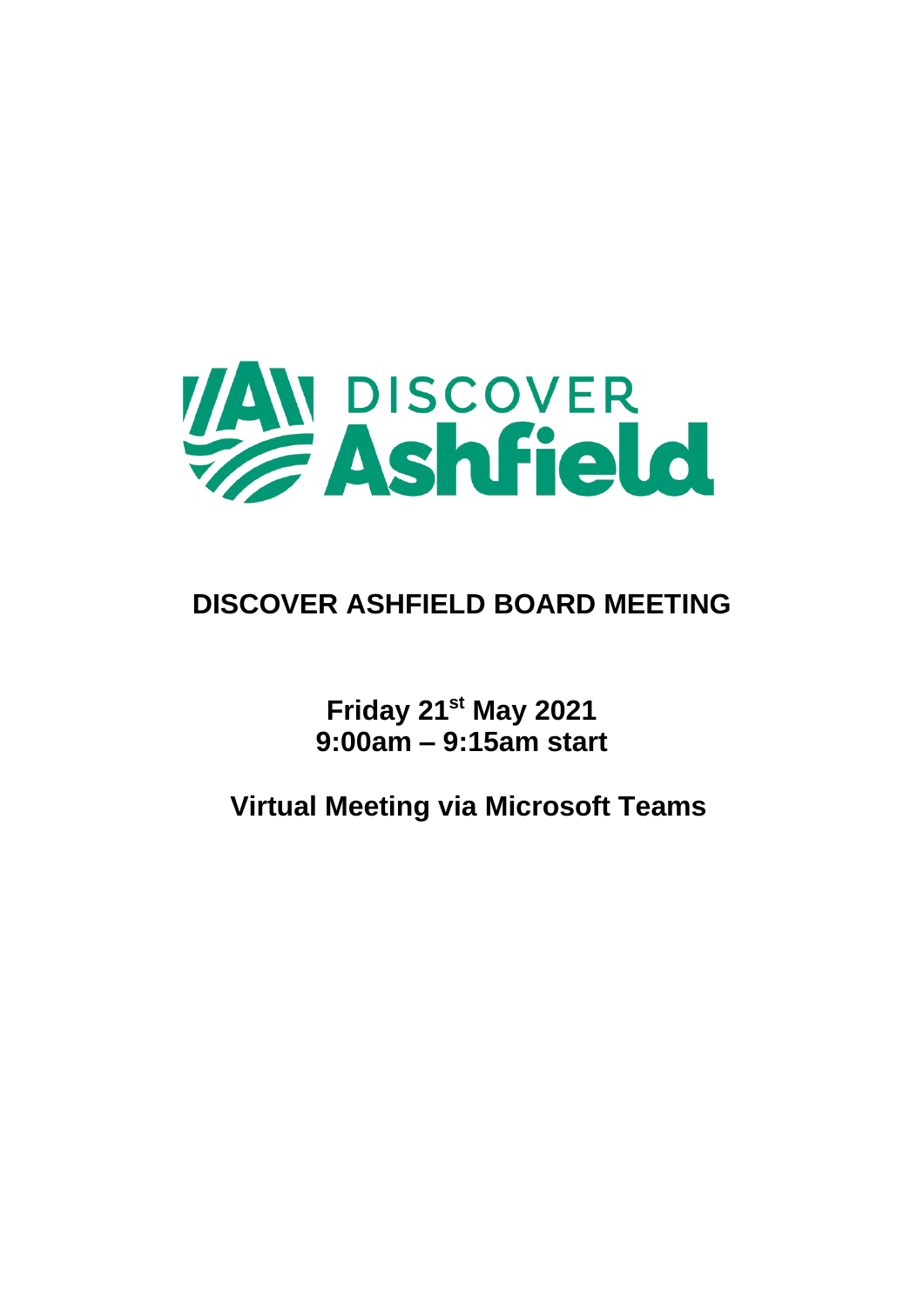

### **DISCOVER ASHFIELD BOARD MEETING**

**Friday 21st May 2021 9:00am – 9:15am start**

**Virtual Meeting via Microsoft Teams**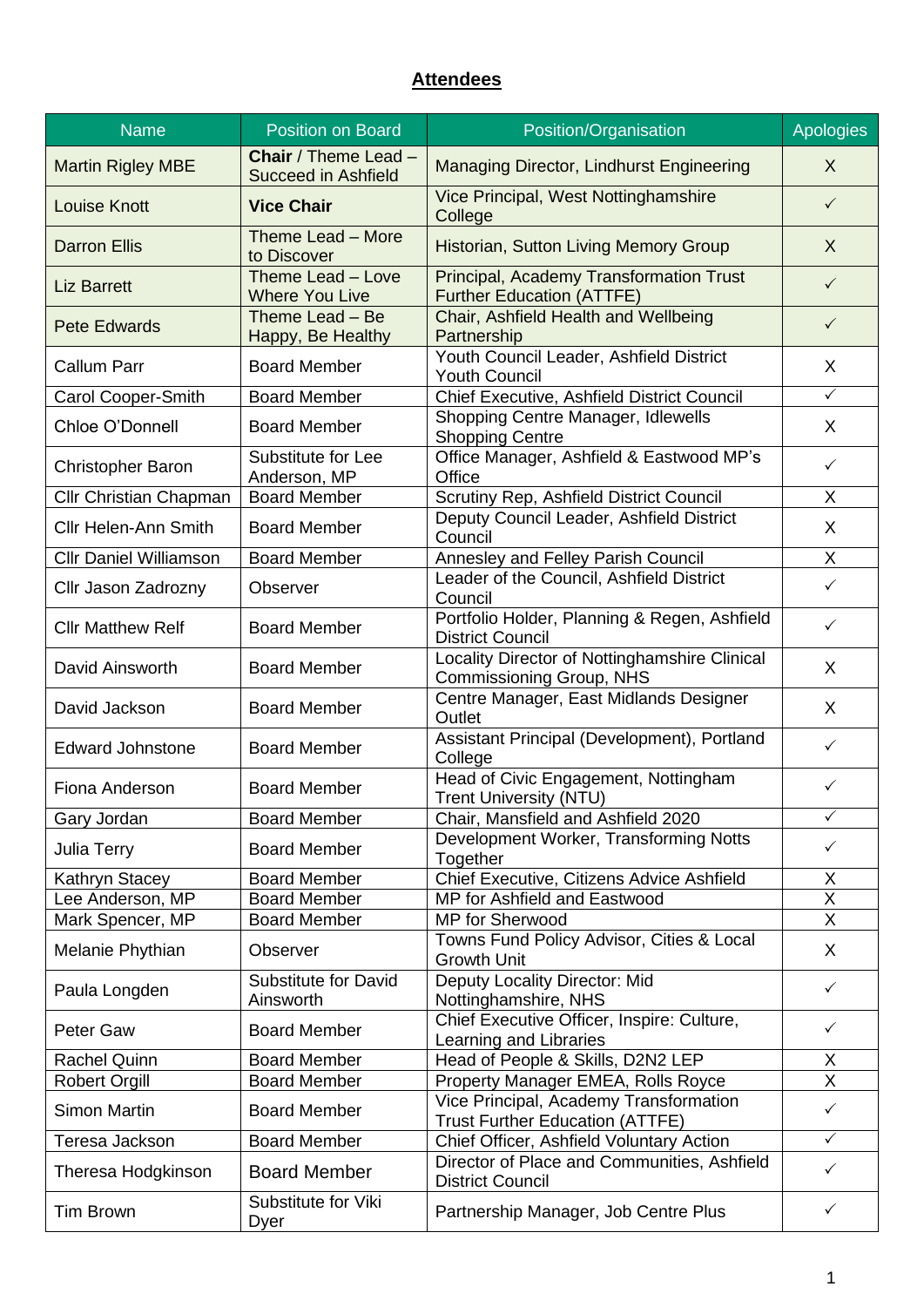#### **Attendees**

| <b>Name</b>                   | <b>Position on Board</b>                                  | Position/Organisation                                                              | <b>Apologies</b>        |
|-------------------------------|-----------------------------------------------------------|------------------------------------------------------------------------------------|-------------------------|
| <b>Martin Rigley MBE</b>      | <b>Chair</b> / Theme Lead -<br><b>Succeed in Ashfield</b> | Managing Director, Lindhurst Engineering                                           | $\sf X$                 |
| <b>Louise Knott</b>           | <b>Vice Chair</b>                                         | Vice Principal, West Nottinghamshire<br>College                                    | $\checkmark$            |
| <b>Darron Ellis</b>           | Theme Lead - More<br>to Discover                          | Historian, Sutton Living Memory Group                                              | X                       |
| <b>Liz Barrett</b>            | Theme Lead - Love<br><b>Where You Live</b>                | <b>Principal, Academy Transformation Trust</b><br><b>Further Education (ATTFE)</b> | $\checkmark$            |
| <b>Pete Edwards</b>           | Theme Lead - Be<br>Happy, Be Healthy                      | Chair, Ashfield Health and Wellbeing<br>Partnership                                | $\checkmark$            |
| <b>Callum Parr</b>            | <b>Board Member</b>                                       | Youth Council Leader, Ashfield District<br><b>Youth Council</b>                    | X                       |
| Carol Cooper-Smith            | <b>Board Member</b>                                       | Chief Executive, Ashfield District Council                                         | $\checkmark$            |
| Chloe O'Donnell               | <b>Board Member</b>                                       | Shopping Centre Manager, Idlewells<br><b>Shopping Centre</b>                       | X                       |
| <b>Christopher Baron</b>      | Substitute for Lee<br>Anderson, MP                        | Office Manager, Ashfield & Eastwood MP's<br>Office                                 | $\checkmark$            |
| Cllr Christian Chapman        | <b>Board Member</b>                                       | Scrutiny Rep, Ashfield District Council                                            | X                       |
| <b>Cllr Helen-Ann Smith</b>   | <b>Board Member</b>                                       | Deputy Council Leader, Ashfield District<br>Council                                | X                       |
| <b>Cllr Daniel Williamson</b> | <b>Board Member</b>                                       | <b>Annesley and Felley Parish Council</b>                                          | X                       |
| Cllr Jason Zadrozny           | Observer                                                  | Leader of the Council, Ashfield District<br>Council                                | $\checkmark$            |
| <b>Cllr Matthew Relf</b>      | <b>Board Member</b>                                       | Portfolio Holder, Planning & Regen, Ashfield<br><b>District Council</b>            | $\checkmark$            |
| David Ainsworth               | <b>Board Member</b>                                       | Locality Director of Nottinghamshire Clinical<br>Commissioning Group, NHS          | X                       |
| David Jackson                 | <b>Board Member</b>                                       | Centre Manager, East Midlands Designer<br>Outlet                                   | X                       |
| <b>Edward Johnstone</b>       | <b>Board Member</b>                                       | Assistant Principal (Development), Portland<br>College                             | $\checkmark$            |
| Fiona Anderson                | <b>Board Member</b>                                       | Head of Civic Engagement, Nottingham<br><b>Trent University (NTU)</b>              | ✓                       |
| Gary Jordan                   | <b>Board Member</b>                                       | Chair, Mansfield and Ashfield 2020                                                 | $\checkmark$            |
| Julia Terry                   | <b>Board Member</b>                                       | Development Worker, Transforming Notts<br>Together                                 | $\checkmark$            |
| Kathryn Stacey                | <b>Board Member</b>                                       | Chief Executive, Citizens Advice Ashfield                                          | X                       |
| Lee Anderson, MP              | <b>Board Member</b>                                       | MP for Ashfield and Eastwood                                                       | $\overline{\mathsf{x}}$ |
| Mark Spencer, MP              | <b>Board Member</b>                                       | MP for Sherwood                                                                    | X                       |
| Melanie Phythian              | Observer                                                  | Towns Fund Policy Advisor, Cities & Local<br><b>Growth Unit</b>                    | X                       |
| Paula Longden                 | <b>Substitute for David</b><br>Ainsworth                  | Deputy Locality Director: Mid<br>Nottinghamshire, NHS                              | $\checkmark$            |
| Peter Gaw                     | <b>Board Member</b>                                       | Chief Executive Officer, Inspire: Culture,<br>Learning and Libraries               | $\checkmark$            |
| <b>Rachel Quinn</b>           | <b>Board Member</b>                                       | Head of People & Skills, D2N2 LEP                                                  | $\overline{X}$          |
| <b>Robert Orgill</b>          | <b>Board Member</b>                                       | Property Manager EMEA, Rolls Royce                                                 | $\overline{\mathsf{x}}$ |
| <b>Simon Martin</b>           | <b>Board Member</b>                                       | Vice Principal, Academy Transformation<br><b>Trust Further Education (ATTFE)</b>   | $\checkmark$            |
| Teresa Jackson                | <b>Board Member</b>                                       | Chief Officer, Ashfield Voluntary Action                                           | $\checkmark$            |
| Theresa Hodgkinson            | <b>Board Member</b>                                       | Director of Place and Communities, Ashfield<br><b>District Council</b>             | $\checkmark$            |
| <b>Tim Brown</b>              | Substitute for Viki<br>Dyer                               | Partnership Manager, Job Centre Plus                                               | $\checkmark$            |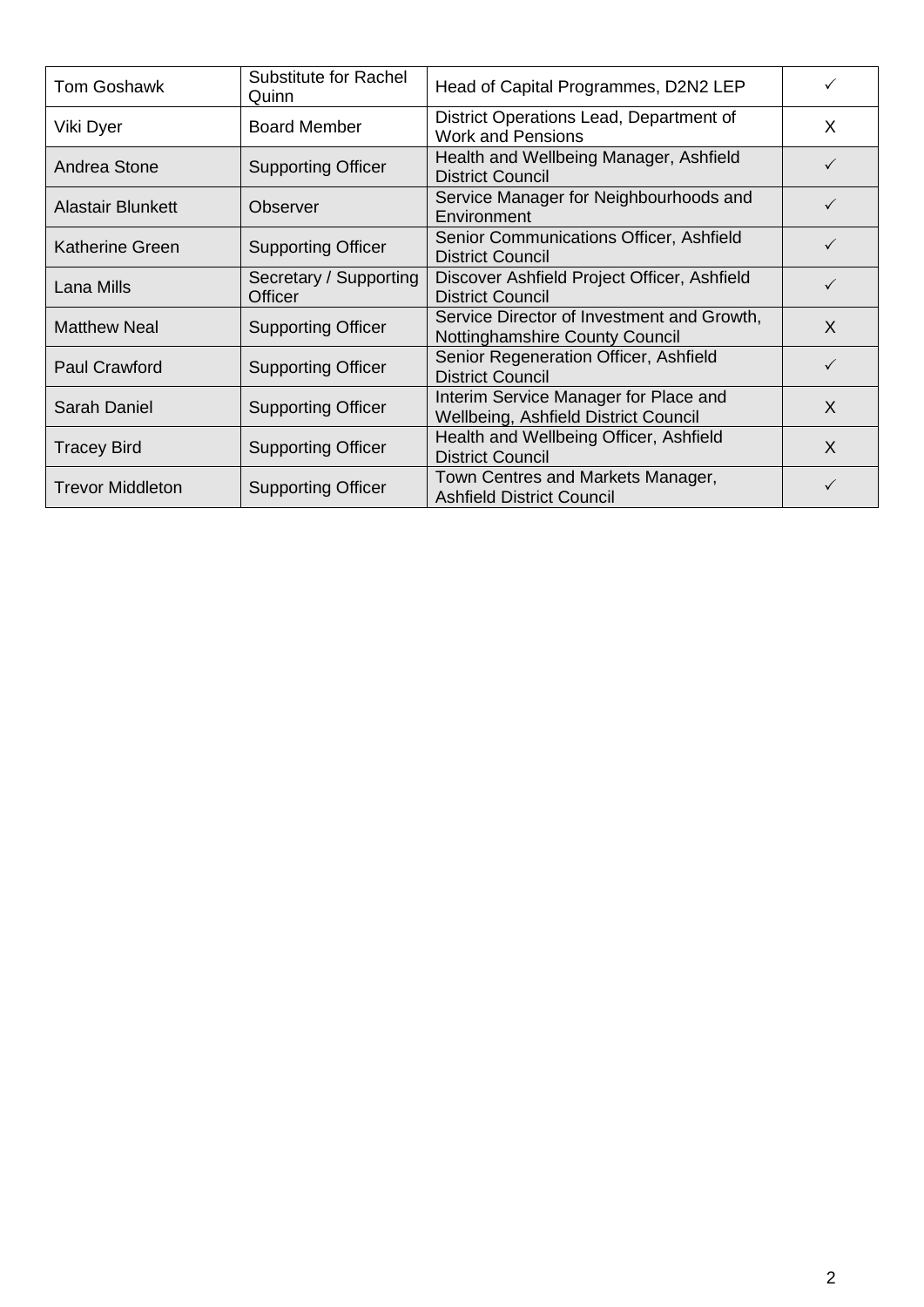| <b>Tom Goshawk</b>       | Substitute for Rachel<br>Quinn    | Head of Capital Programmes, D2N2 LEP                                          | $\checkmark$ |
|--------------------------|-----------------------------------|-------------------------------------------------------------------------------|--------------|
| Viki Dyer                | <b>Board Member</b>               | District Operations Lead, Department of<br><b>Work and Pensions</b>           | X            |
| Andrea Stone             | <b>Supporting Officer</b>         | Health and Wellbeing Manager, Ashfield<br><b>District Council</b>             | $\checkmark$ |
| <b>Alastair Blunkett</b> | Observer                          | Service Manager for Neighbourhoods and<br>Environment                         | ✓            |
| Katherine Green          | <b>Supporting Officer</b>         | Senior Communications Officer, Ashfield<br><b>District Council</b>            | ✓            |
| Lana Mills               | Secretary / Supporting<br>Officer | Discover Ashfield Project Officer, Ashfield<br><b>District Council</b>        |              |
| <b>Matthew Neal</b>      | <b>Supporting Officer</b>         | Service Director of Investment and Growth,<br>Nottinghamshire County Council  | X            |
| <b>Paul Crawford</b>     | <b>Supporting Officer</b>         | Senior Regeneration Officer, Ashfield<br><b>District Council</b>              | $\checkmark$ |
| Sarah Daniel             | <b>Supporting Officer</b>         | Interim Service Manager for Place and<br>Wellbeing, Ashfield District Council | X            |
| <b>Tracey Bird</b>       | <b>Supporting Officer</b>         | Health and Wellbeing Officer, Ashfield<br><b>District Council</b>             | X            |
| <b>Trevor Middleton</b>  | <b>Supporting Officer</b>         | Town Centres and Markets Manager,<br><b>Ashfield District Council</b>         | ✓            |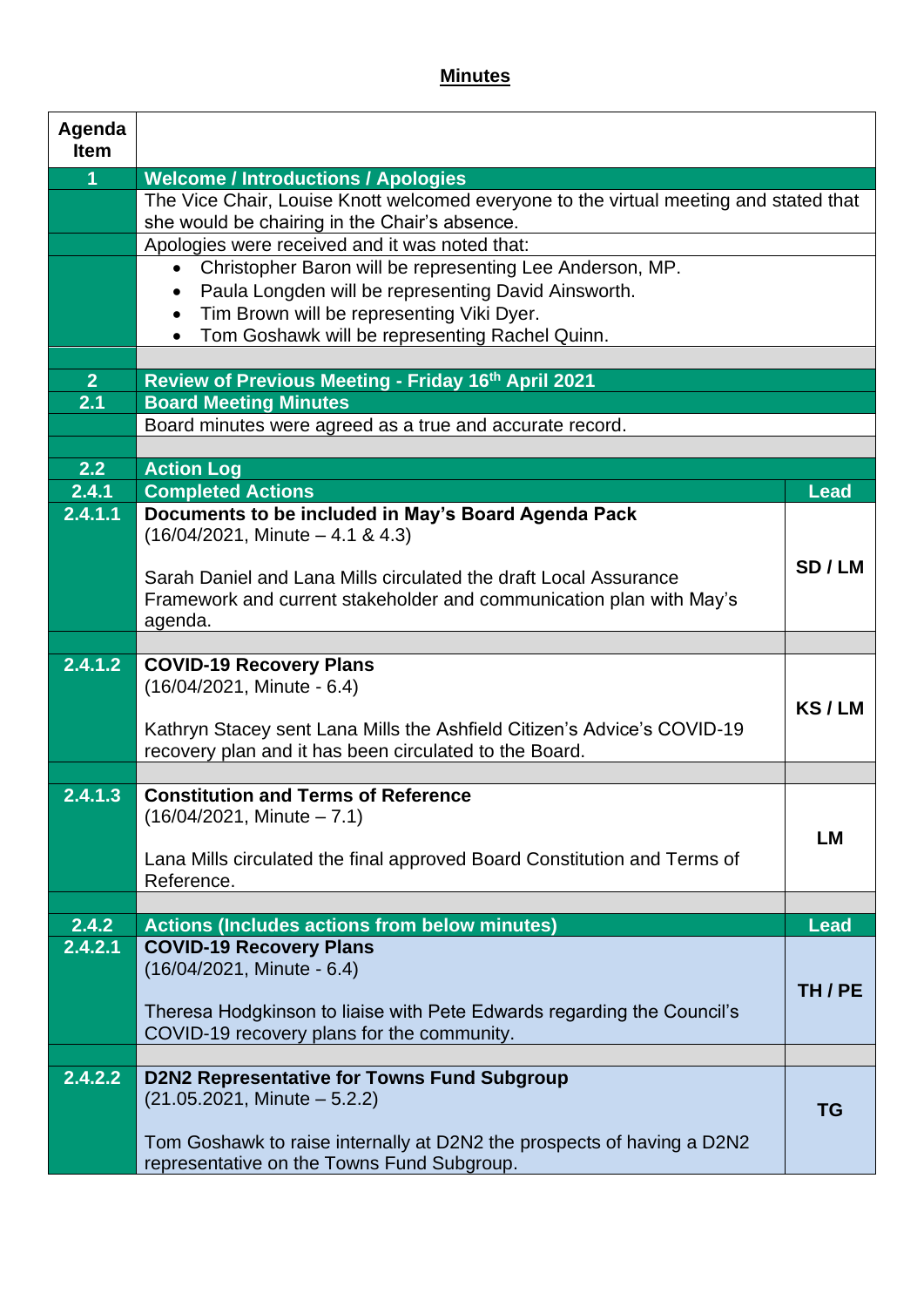#### **Minutes**

| Agenda<br><b>Item</b> |                                                                                                                                           |             |
|-----------------------|-------------------------------------------------------------------------------------------------------------------------------------------|-------------|
| $\overline{1}$        | <b>Welcome / Introductions / Apologies</b>                                                                                                |             |
|                       | The Vice Chair, Louise Knott welcomed everyone to the virtual meeting and stated that                                                     |             |
|                       | she would be chairing in the Chair's absence.                                                                                             |             |
|                       | Apologies were received and it was noted that:                                                                                            |             |
|                       | Christopher Baron will be representing Lee Anderson, MP.<br>$\bullet$<br>Paula Longden will be representing David Ainsworth.<br>$\bullet$ |             |
|                       | Tim Brown will be representing Viki Dyer.<br>$\bullet$                                                                                    |             |
|                       | Tom Goshawk will be representing Rachel Quinn.                                                                                            |             |
|                       |                                                                                                                                           |             |
| 2 <sup>1</sup>        | Review of Previous Meeting - Friday 16th April 2021                                                                                       |             |
| 2.1                   | <b>Board Meeting Minutes</b>                                                                                                              |             |
|                       | Board minutes were agreed as a true and accurate record.                                                                                  |             |
| 2.2                   | <b>Action Log</b>                                                                                                                         |             |
| 2.4.1                 | <b>Completed Actions</b>                                                                                                                  | <b>Lead</b> |
| 2.4.1.1               | Documents to be included in May's Board Agenda Pack                                                                                       |             |
|                       | $(16/04/2021,$ Minute $-4.1$ & 4.3)                                                                                                       |             |
|                       |                                                                                                                                           | SD/LM       |
|                       | Sarah Daniel and Lana Mills circulated the draft Local Assurance                                                                          |             |
|                       | Framework and current stakeholder and communication plan with May's<br>agenda.                                                            |             |
|                       |                                                                                                                                           |             |
| 2.4.1.2               | <b>COVID-19 Recovery Plans</b>                                                                                                            |             |
|                       | (16/04/2021, Minute - 6.4)                                                                                                                |             |
|                       | Kathryn Stacey sent Lana Mills the Ashfield Citizen's Advice's COVID-19                                                                   | KS/LM       |
|                       | recovery plan and it has been circulated to the Board.                                                                                    |             |
|                       |                                                                                                                                           |             |
| 2.4.1.3               | <b>Constitution and Terms of Reference</b>                                                                                                |             |
|                       | $(16/04/2021,$ Minute $- 7.1)$                                                                                                            |             |
|                       |                                                                                                                                           | <b>LM</b>   |
|                       | Lana Mills circulated the final approved Board Constitution and Terms of<br>Reference.                                                    |             |
|                       |                                                                                                                                           |             |
| 2.4.2                 | <b>Actions (Includes actions from below minutes)</b>                                                                                      | <b>Lead</b> |
| 2.4.2.1               | <b>COVID-19 Recovery Plans</b>                                                                                                            |             |
|                       | (16/04/2021, Minute - 6.4)                                                                                                                |             |
|                       | Theresa Hodgkinson to liaise with Pete Edwards regarding the Council's                                                                    | TH/PE       |
|                       | COVID-19 recovery plans for the community.                                                                                                |             |
|                       |                                                                                                                                           |             |
| 2.4.2.2               | <b>D2N2 Representative for Towns Fund Subgroup</b>                                                                                        |             |
|                       | $(21.05.2021,$ Minute $-5.2.2)$                                                                                                           | <b>TG</b>   |
|                       | Tom Goshawk to raise internally at D2N2 the prospects of having a D2N2                                                                    |             |
|                       | representative on the Towns Fund Subgroup.                                                                                                |             |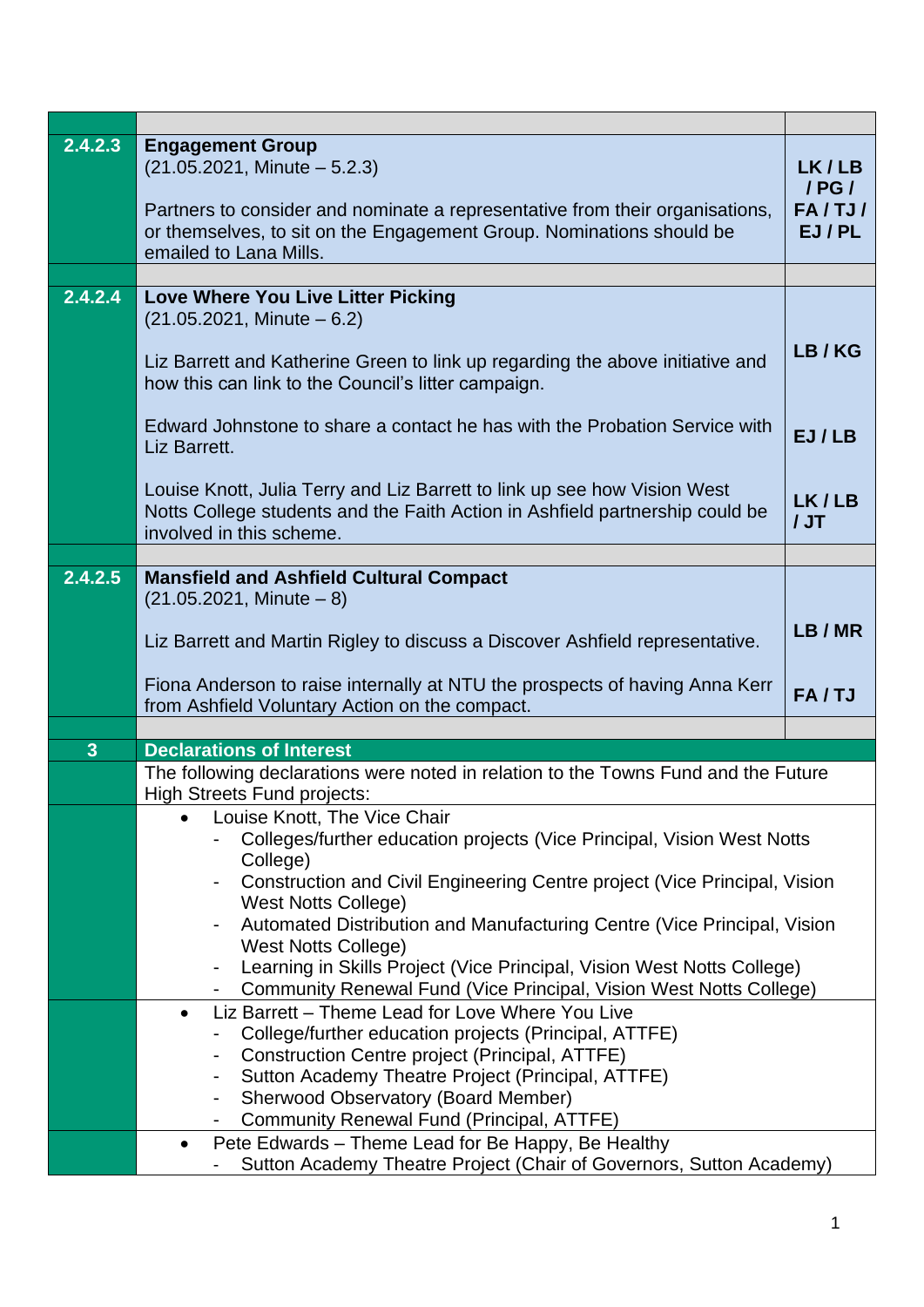| 2.4.2.3      | <b>Engagement Group</b><br>$(21.05.2021,$ Minute $-5.2.3)$<br>Partners to consider and nominate a representative from their organisations,<br>or themselves, to sit on the Engagement Group. Nominations should be<br>emailed to Lana Mills. | LK/LB<br>$/$ PG $/$<br>FA/TJ/<br>EJ/PL |  |
|--------------|----------------------------------------------------------------------------------------------------------------------------------------------------------------------------------------------------------------------------------------------|----------------------------------------|--|
|              |                                                                                                                                                                                                                                              |                                        |  |
| 2.4.2.4      | Love Where You Live Litter Picking<br>$(21.05.2021,$ Minute $-6.2)$<br>Liz Barrett and Katherine Green to link up regarding the above initiative and<br>how this can link to the Council's litter campaign.                                  |                                        |  |
|              | Edward Johnstone to share a contact he has with the Probation Service with<br>EJ/LB<br>Liz Barrett.                                                                                                                                          |                                        |  |
|              | Louise Knott, Julia Terry and Liz Barrett to link up see how Vision West<br>Notts College students and the Faith Action in Ashfield partnership could be<br>involved in this scheme.                                                         | LK/LB<br>JJ                            |  |
|              |                                                                                                                                                                                                                                              |                                        |  |
| 2.4.2.5      | <b>Mansfield and Ashfield Cultural Compact</b><br>$(21.05.2021,$ Minute $-8)$<br>Liz Barrett and Martin Rigley to discuss a Discover Ashfield representative.                                                                                |                                        |  |
|              | Fiona Anderson to raise internally at NTU the prospects of having Anna Kerr<br>from Ashfield Voluntary Action on the compact.                                                                                                                |                                        |  |
|              |                                                                                                                                                                                                                                              |                                        |  |
| $\mathbf{3}$ | <b>Declarations of Interest</b>                                                                                                                                                                                                              |                                        |  |
|              | The following declarations were noted in relation to the Towns Fund and the Future<br><b>High Streets Fund projects:</b>                                                                                                                     |                                        |  |
|              | Louise Knott, The Vice Chair                                                                                                                                                                                                                 |                                        |  |
|              | Colleges/further education projects (Vice Principal, Vision West Notts<br>College)                                                                                                                                                           |                                        |  |
|              | Construction and Civil Engineering Centre project (Vice Principal, Vision                                                                                                                                                                    |                                        |  |
|              | <b>West Notts College)</b>                                                                                                                                                                                                                   |                                        |  |
|              | Automated Distribution and Manufacturing Centre (Vice Principal, Vision<br><b>West Notts College)</b>                                                                                                                                        |                                        |  |
|              | Learning in Skills Project (Vice Principal, Vision West Notts College)                                                                                                                                                                       |                                        |  |
|              | Community Renewal Fund (Vice Principal, Vision West Notts College)                                                                                                                                                                           |                                        |  |
|              | Liz Barrett - Theme Lead for Love Where You Live<br>$\bullet$<br>College/further education projects (Principal, ATTFE)                                                                                                                       |                                        |  |
|              | Construction Centre project (Principal, ATTFE)                                                                                                                                                                                               |                                        |  |
|              | Sutton Academy Theatre Project (Principal, ATTFE)<br>٠                                                                                                                                                                                       |                                        |  |
|              | <b>Sherwood Observatory (Board Member)</b>                                                                                                                                                                                                   |                                        |  |
|              | Community Renewal Fund (Principal, ATTFE)<br>Pete Edwards - Theme Lead for Be Happy, Be Healthy<br>٠                                                                                                                                         |                                        |  |
|              | Sutton Academy Theatre Project (Chair of Governors, Sutton Academy)                                                                                                                                                                          |                                        |  |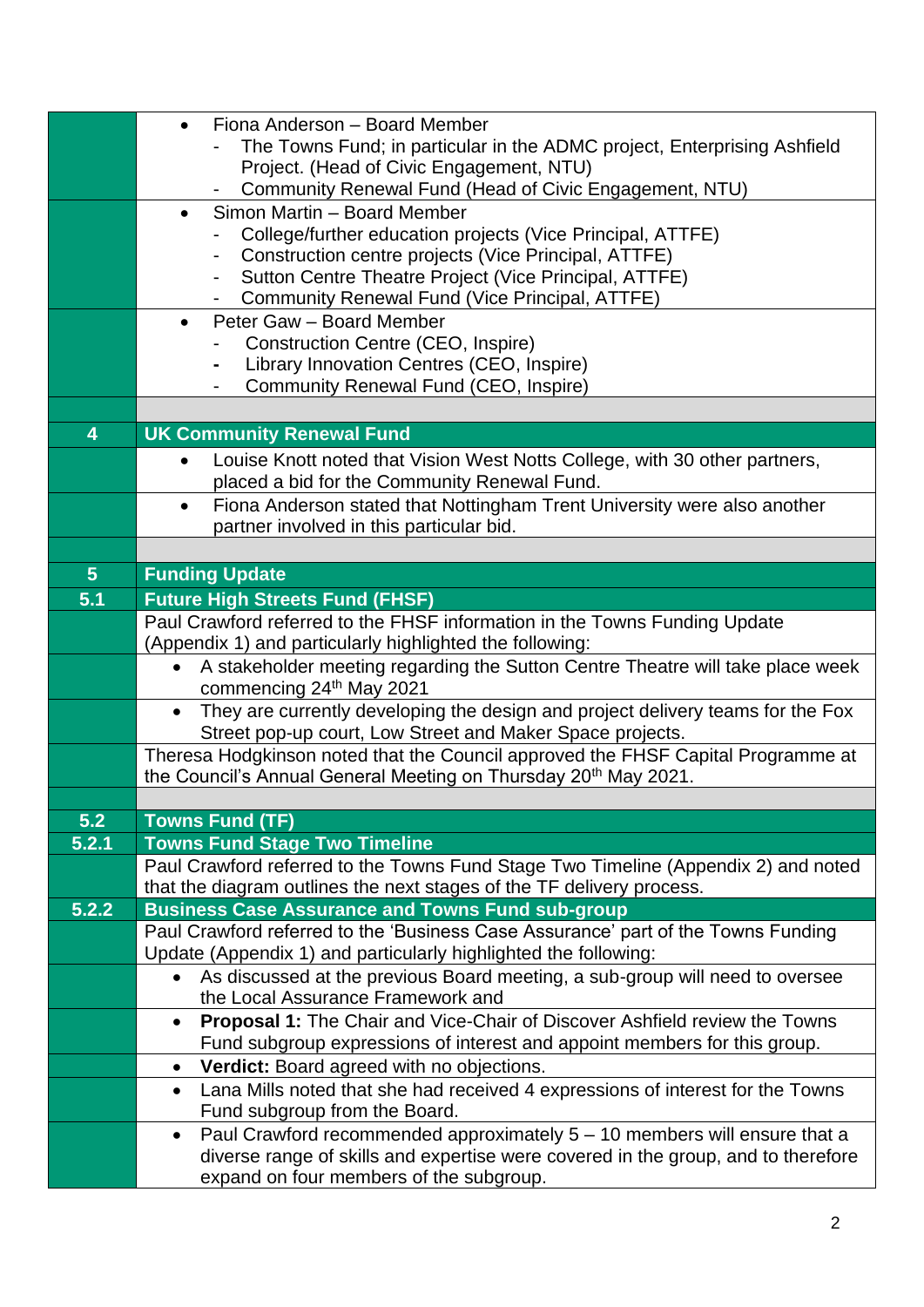|                | Fiona Anderson - Board Member<br>$\bullet$<br>The Towns Fund; in particular in the ADMC project, Enterprising Ashfield                                    |
|----------------|-----------------------------------------------------------------------------------------------------------------------------------------------------------|
|                | Project. (Head of Civic Engagement, NTU)                                                                                                                  |
|                | Community Renewal Fund (Head of Civic Engagement, NTU)                                                                                                    |
|                | Simon Martin - Board Member<br>$\bullet$                                                                                                                  |
|                | College/further education projects (Vice Principal, ATTFE)<br>Construction centre projects (Vice Principal, ATTFE)                                        |
|                | Sutton Centre Theatre Project (Vice Principal, ATTFE)                                                                                                     |
|                | Community Renewal Fund (Vice Principal, ATTFE)                                                                                                            |
|                | Peter Gaw - Board Member<br>$\bullet$                                                                                                                     |
|                | Construction Centre (CEO, Inspire)<br>Library Innovation Centres (CEO, Inspire)                                                                           |
|                | Community Renewal Fund (CEO, Inspire)                                                                                                                     |
|                |                                                                                                                                                           |
| 4              | <b>UK Community Renewal Fund</b>                                                                                                                          |
|                | Louise Knott noted that Vision West Notts College, with 30 other partners,<br>$\bullet$                                                                   |
|                | placed a bid for the Community Renewal Fund.                                                                                                              |
|                | Fiona Anderson stated that Nottingham Trent University were also another<br>$\bullet$<br>partner involved in this particular bid.                         |
|                |                                                                                                                                                           |
| 5 <sup>5</sup> | <b>Funding Update</b>                                                                                                                                     |
| 5.1            | <b>Future High Streets Fund (FHSF)</b>                                                                                                                    |
|                | Paul Crawford referred to the FHSF information in the Towns Funding Update                                                                                |
|                | (Appendix 1) and particularly highlighted the following:                                                                                                  |
|                | A stakeholder meeting regarding the Sutton Centre Theatre will take place week<br>$\bullet$<br>commencing 24th May 2021                                   |
|                | They are currently developing the design and project delivery teams for the Fox<br>$\bullet$<br>Street pop-up court, Low Street and Maker Space projects. |
|                | Theresa Hodgkinson noted that the Council approved the FHSF Capital Programme at                                                                          |
|                | the Council's Annual General Meeting on Thursday 20 <sup>th</sup> May 2021.                                                                               |
| 5.2            | <b>Towns Fund (TF)</b>                                                                                                                                    |
| 5.2.1          | <b>Towns Fund Stage Two Timeline</b>                                                                                                                      |
|                | Paul Crawford referred to the Towns Fund Stage Two Timeline (Appendix 2) and noted                                                                        |
|                | that the diagram outlines the next stages of the TF delivery process.                                                                                     |
| 5.2.2          | <b>Business Case Assurance and Towns Fund sub-group</b><br>Paul Crawford referred to the 'Business Case Assurance' part of the Towns Funding              |
|                | Update (Appendix 1) and particularly highlighted the following:                                                                                           |
|                | As discussed at the previous Board meeting, a sub-group will need to oversee<br>$\bullet$                                                                 |
|                | the Local Assurance Framework and                                                                                                                         |
|                | <b>Proposal 1:</b> The Chair and Vice-Chair of Discover Ashfield review the Towns<br>$\bullet$                                                            |
|                | Fund subgroup expressions of interest and appoint members for this group.<br>Verdict: Board agreed with no objections.<br>$\bullet$                       |
|                | Lana Mills noted that she had received 4 expressions of interest for the Towns<br>$\bullet$                                                               |
|                | Fund subgroup from the Board.                                                                                                                             |
|                | Paul Crawford recommended approximately $5 - 10$ members will ensure that a<br>$\bullet$                                                                  |
|                | diverse range of skills and expertise were covered in the group, and to therefore                                                                         |
|                | expand on four members of the subgroup.                                                                                                                   |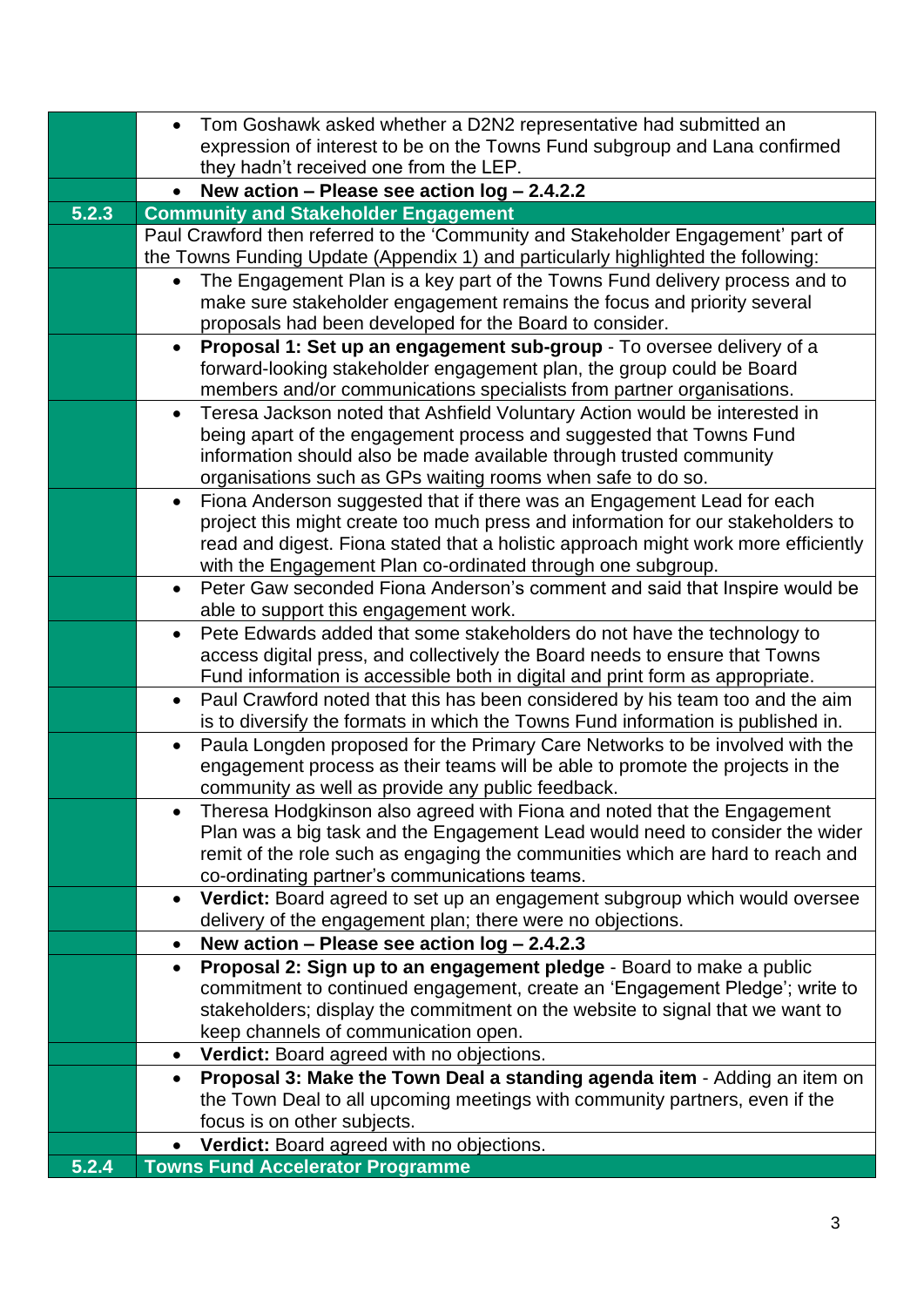|       | Tom Goshawk asked whether a D2N2 representative had submitted an                                                                                                               |  |  |  |
|-------|--------------------------------------------------------------------------------------------------------------------------------------------------------------------------------|--|--|--|
|       | expression of interest to be on the Towns Fund subgroup and Lana confirmed                                                                                                     |  |  |  |
|       | they hadn't received one from the LEP.                                                                                                                                         |  |  |  |
|       | New action - Please see action log - 2.4.2.2                                                                                                                                   |  |  |  |
| 5.2.3 | <b>Community and Stakeholder Engagement</b>                                                                                                                                    |  |  |  |
|       | Paul Crawford then referred to the 'Community and Stakeholder Engagement' part of                                                                                              |  |  |  |
|       | the Towns Funding Update (Appendix 1) and particularly highlighted the following:                                                                                              |  |  |  |
|       | The Engagement Plan is a key part of the Towns Fund delivery process and to<br>$\bullet$                                                                                       |  |  |  |
|       | make sure stakeholder engagement remains the focus and priority several                                                                                                        |  |  |  |
|       | proposals had been developed for the Board to consider.                                                                                                                        |  |  |  |
|       | Proposal 1: Set up an engagement sub-group - To oversee delivery of a<br>$\bullet$                                                                                             |  |  |  |
|       | forward-looking stakeholder engagement plan, the group could be Board                                                                                                          |  |  |  |
|       | members and/or communications specialists from partner organisations.                                                                                                          |  |  |  |
|       | Teresa Jackson noted that Ashfield Voluntary Action would be interested in<br>$\bullet$                                                                                        |  |  |  |
|       | being apart of the engagement process and suggested that Towns Fund                                                                                                            |  |  |  |
|       | information should also be made available through trusted community                                                                                                            |  |  |  |
|       | organisations such as GPs waiting rooms when safe to do so.                                                                                                                    |  |  |  |
|       | Fiona Anderson suggested that if there was an Engagement Lead for each<br>$\bullet$                                                                                            |  |  |  |
|       | project this might create too much press and information for our stakeholders to                                                                                               |  |  |  |
|       | read and digest. Fiona stated that a holistic approach might work more efficiently                                                                                             |  |  |  |
|       | with the Engagement Plan co-ordinated through one subgroup.                                                                                                                    |  |  |  |
|       | Peter Gaw seconded Fiona Anderson's comment and said that Inspire would be<br>$\bullet$                                                                                        |  |  |  |
|       | able to support this engagement work.                                                                                                                                          |  |  |  |
|       | Pete Edwards added that some stakeholders do not have the technology to<br>$\bullet$                                                                                           |  |  |  |
|       | access digital press, and collectively the Board needs to ensure that Towns<br>Fund information is accessible both in digital and print form as appropriate.                   |  |  |  |
|       |                                                                                                                                                                                |  |  |  |
|       | Paul Crawford noted that this has been considered by his team too and the aim<br>$\bullet$<br>is to diversify the formats in which the Towns Fund information is published in. |  |  |  |
|       | Paula Longden proposed for the Primary Care Networks to be involved with the<br>$\bullet$                                                                                      |  |  |  |
|       | engagement process as their teams will be able to promote the projects in the                                                                                                  |  |  |  |
|       | community as well as provide any public feedback.                                                                                                                              |  |  |  |
|       | Theresa Hodgkinson also agreed with Fiona and noted that the Engagement                                                                                                        |  |  |  |
|       | Plan was a big task and the Engagement Lead would need to consider the wider                                                                                                   |  |  |  |
|       | remit of the role such as engaging the communities which are hard to reach and                                                                                                 |  |  |  |
|       | co-ordinating partner's communications teams.                                                                                                                                  |  |  |  |
|       | Verdict: Board agreed to set up an engagement subgroup which would oversee<br>$\bullet$                                                                                        |  |  |  |
|       | delivery of the engagement plan; there were no objections.                                                                                                                     |  |  |  |
|       | New action - Please see action log - 2.4.2.3<br>$\bullet$                                                                                                                      |  |  |  |
|       | Proposal 2: Sign up to an engagement pledge - Board to make a public<br>$\bullet$                                                                                              |  |  |  |
|       | commitment to continued engagement, create an 'Engagement Pledge'; write to                                                                                                    |  |  |  |
|       | stakeholders; display the commitment on the website to signal that we want to                                                                                                  |  |  |  |
|       | keep channels of communication open.                                                                                                                                           |  |  |  |
|       | Verdict: Board agreed with no objections.<br>$\bullet$                                                                                                                         |  |  |  |
|       | Proposal 3: Make the Town Deal a standing agenda item - Adding an item on<br>$\bullet$                                                                                         |  |  |  |
|       | the Town Deal to all upcoming meetings with community partners, even if the                                                                                                    |  |  |  |
|       | focus is on other subjects.                                                                                                                                                    |  |  |  |
|       | Verdict: Board agreed with no objections.                                                                                                                                      |  |  |  |
| 5.2.4 | <b>Towns Fund Accelerator Programme</b>                                                                                                                                        |  |  |  |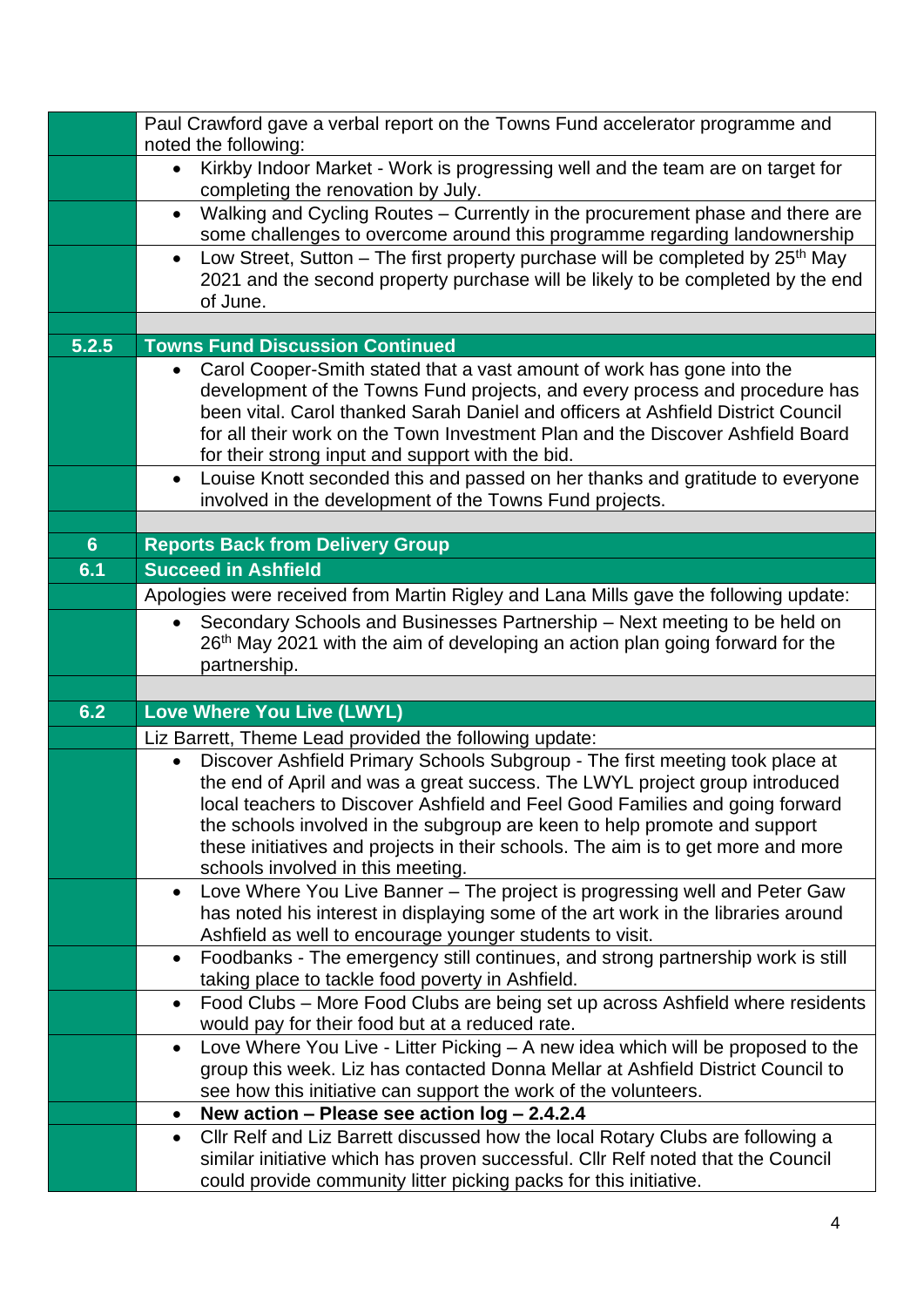|                | Paul Crawford gave a verbal report on the Towns Fund accelerator programme and                                                                                                  |  |  |
|----------------|---------------------------------------------------------------------------------------------------------------------------------------------------------------------------------|--|--|
|                | noted the following:<br>Kirkby Indoor Market - Work is progressing well and the team are on target for<br>$\bullet$                                                             |  |  |
|                | completing the renovation by July.                                                                                                                                              |  |  |
|                | Walking and Cycling Routes - Currently in the procurement phase and there are<br>$\bullet$                                                                                      |  |  |
|                | some challenges to overcome around this programme regarding landownership                                                                                                       |  |  |
|                | Low Street, Sutton – The first property purchase will be completed by $25th$ May<br>$\bullet$                                                                                   |  |  |
|                | 2021 and the second property purchase will be likely to be completed by the end<br>of June.                                                                                     |  |  |
|                |                                                                                                                                                                                 |  |  |
| 5.2.5          | <b>Towns Fund Discussion Continued</b>                                                                                                                                          |  |  |
|                | Carol Cooper-Smith stated that a vast amount of work has gone into the<br>$\bullet$                                                                                             |  |  |
|                | development of the Towns Fund projects, and every process and procedure has                                                                                                     |  |  |
|                | been vital. Carol thanked Sarah Daniel and officers at Ashfield District Council                                                                                                |  |  |
|                | for all their work on the Town Investment Plan and the Discover Ashfield Board                                                                                                  |  |  |
|                | for their strong input and support with the bid.                                                                                                                                |  |  |
|                | Louise Knott seconded this and passed on her thanks and gratitude to everyone<br>$\bullet$<br>involved in the development of the Towns Fund projects.                           |  |  |
|                |                                                                                                                                                                                 |  |  |
| 6 <sup>1</sup> | <b>Reports Back from Delivery Group</b>                                                                                                                                         |  |  |
| 6.1            | <b>Succeed in Ashfield</b>                                                                                                                                                      |  |  |
|                | Apologies were received from Martin Rigley and Lana Mills gave the following update:                                                                                            |  |  |
|                | Secondary Schools and Businesses Partnership - Next meeting to be held on<br>$\bullet$                                                                                          |  |  |
|                | 26 <sup>th</sup> May 2021 with the aim of developing an action plan going forward for the                                                                                       |  |  |
|                | partnership.                                                                                                                                                                    |  |  |
|                |                                                                                                                                                                                 |  |  |
| 6.2            | Love Where You Live (LWYL)                                                                                                                                                      |  |  |
|                | Liz Barrett, Theme Lead provided the following update:                                                                                                                          |  |  |
|                | Discover Ashfield Primary Schools Subgroup - The first meeting took place at<br>$\bullet$                                                                                       |  |  |
|                |                                                                                                                                                                                 |  |  |
|                | the end of April and was a great success. The LWYL project group introduced                                                                                                     |  |  |
|                | local teachers to Discover Ashfield and Feel Good Families and going forward                                                                                                    |  |  |
|                | the schools involved in the subgroup are keen to help promote and support<br>these initiatives and projects in their schools. The aim is to get more and more                   |  |  |
|                | schools involved in this meeting.                                                                                                                                               |  |  |
|                | Love Where You Live Banner - The project is progressing well and Peter Gaw<br>٠                                                                                                 |  |  |
|                | has noted his interest in displaying some of the art work in the libraries around                                                                                               |  |  |
|                | Ashfield as well to encourage younger students to visit.                                                                                                                        |  |  |
|                | Foodbanks - The emergency still continues, and strong partnership work is still<br>$\bullet$                                                                                    |  |  |
|                | taking place to tackle food poverty in Ashfield.<br>Food Clubs – More Food Clubs are being set up across Ashfield where residents<br>$\bullet$                                  |  |  |
|                | would pay for their food but at a reduced rate.                                                                                                                                 |  |  |
|                | Love Where You Live - Litter Picking - A new idea which will be proposed to the<br>$\bullet$                                                                                    |  |  |
|                | group this week. Liz has contacted Donna Mellar at Ashfield District Council to                                                                                                 |  |  |
|                | see how this initiative can support the work of the volunteers.                                                                                                                 |  |  |
|                | New action - Please see action log - 2.4.2.4<br>٠                                                                                                                               |  |  |
|                | Cllr Relf and Liz Barrett discussed how the local Rotary Clubs are following a<br>$\bullet$<br>similar initiative which has proven successful. Cllr Relf noted that the Council |  |  |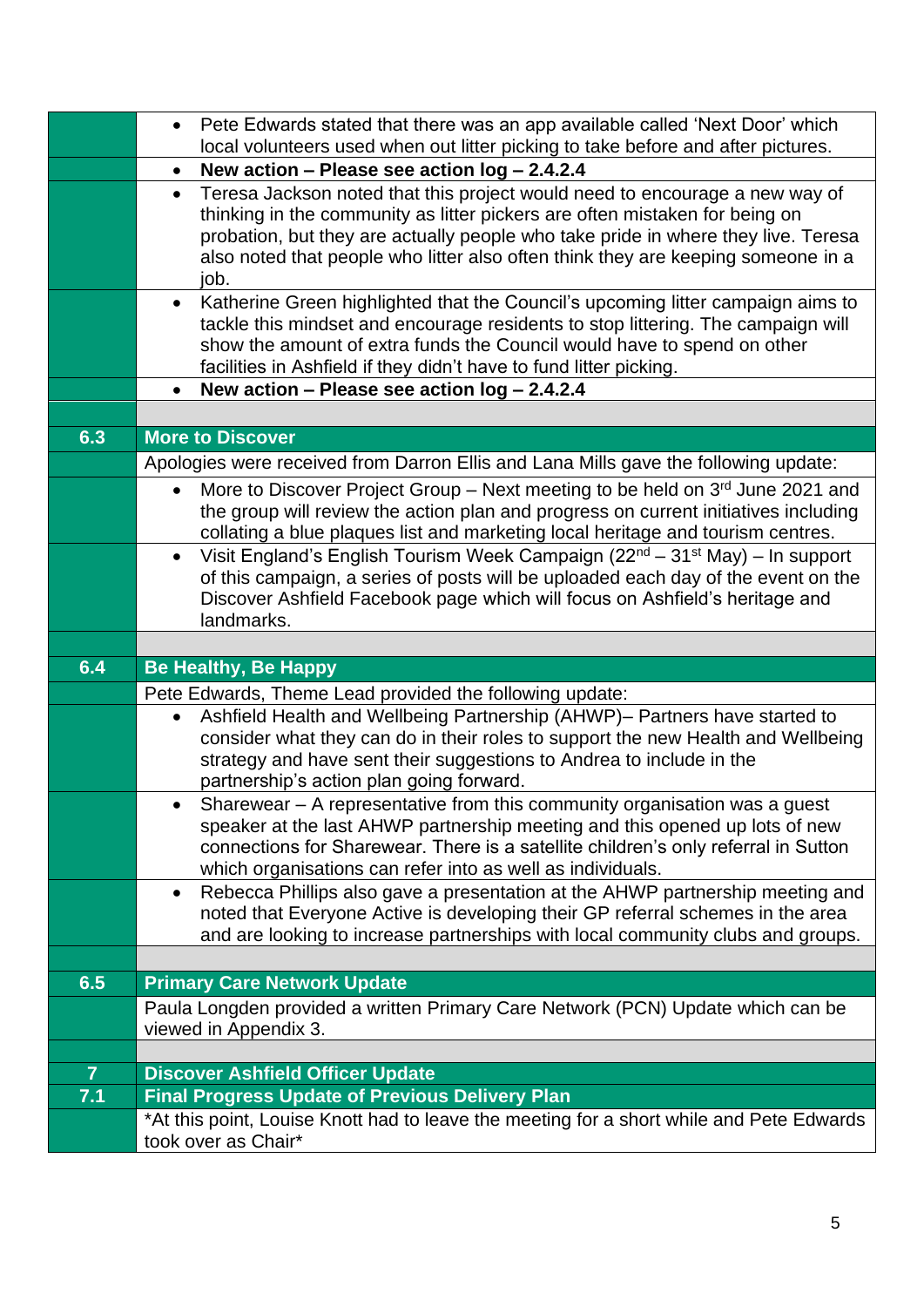|                | Pete Edwards stated that there was an app available called 'Next Door' which<br>$\bullet$                                                                       |
|----------------|-----------------------------------------------------------------------------------------------------------------------------------------------------------------|
|                | local volunteers used when out litter picking to take before and after pictures.<br>New action - Please see action log - 2.4.2.4<br>$\bullet$                   |
|                | Teresa Jackson noted that this project would need to encourage a new way of<br>$\bullet$                                                                        |
|                | thinking in the community as litter pickers are often mistaken for being on                                                                                     |
|                | probation, but they are actually people who take pride in where they live. Teresa                                                                               |
|                | also noted that people who litter also often think they are keeping someone in a                                                                                |
|                | job.                                                                                                                                                            |
|                | Katherine Green highlighted that the Council's upcoming litter campaign aims to<br>$\bullet$                                                                    |
|                | tackle this mindset and encourage residents to stop littering. The campaign will<br>show the amount of extra funds the Council would have to spend on other     |
|                | facilities in Ashfield if they didn't have to fund litter picking.                                                                                              |
|                | New action - Please see action $log - 2.4.2.4$                                                                                                                  |
|                |                                                                                                                                                                 |
| 6.3            | <b>More to Discover</b>                                                                                                                                         |
|                | Apologies were received from Darron Ellis and Lana Mills gave the following update:                                                                             |
|                | More to Discover Project Group - Next meeting to be held on 3rd June 2021 and<br>$\bullet$                                                                      |
|                | the group will review the action plan and progress on current initiatives including                                                                             |
|                | collating a blue plaques list and marketing local heritage and tourism centres.                                                                                 |
|                | Visit England's English Tourism Week Campaign (22 <sup>nd</sup> – 31 <sup>st</sup> May) – In support                                                            |
|                | of this campaign, a series of posts will be uploaded each day of the event on the                                                                               |
|                | Discover Ashfield Facebook page which will focus on Ashfield's heritage and<br>landmarks.                                                                       |
|                |                                                                                                                                                                 |
|                | <b>Be Healthy, Be Happy</b>                                                                                                                                     |
| 6.4            |                                                                                                                                                                 |
|                |                                                                                                                                                                 |
|                | Pete Edwards, Theme Lead provided the following update:<br>Ashfield Health and Wellbeing Partnership (AHWP)- Partners have started to<br>$\bullet$              |
|                | consider what they can do in their roles to support the new Health and Wellbeing                                                                                |
|                | strategy and have sent their suggestions to Andrea to include in the                                                                                            |
|                | partnership's action plan going forward.                                                                                                                        |
|                | Sharewear – A representative from this community organisation was a guest                                                                                       |
|                | speaker at the last AHWP partnership meeting and this opened up lots of new                                                                                     |
|                | connections for Sharewear. There is a satellite children's only referral in Sutton                                                                              |
|                | which organisations can refer into as well as individuals.<br>$\bullet$                                                                                         |
|                | Rebecca Phillips also gave a presentation at the AHWP partnership meeting and<br>noted that Everyone Active is developing their GP referral schemes in the area |
|                | and are looking to increase partnerships with local community clubs and groups.                                                                                 |
|                |                                                                                                                                                                 |
| 6.5            | <b>Primary Care Network Update</b>                                                                                                                              |
|                | Paula Longden provided a written Primary Care Network (PCN) Update which can be                                                                                 |
|                | viewed in Appendix 3.                                                                                                                                           |
|                |                                                                                                                                                                 |
| $\overline{7}$ | <b>Discover Ashfield Officer Update</b>                                                                                                                         |
| 7.1            | <b>Final Progress Update of Previous Delivery Plan</b><br>*At this point, Louise Knott had to leave the meeting for a short while and Pete Edwards              |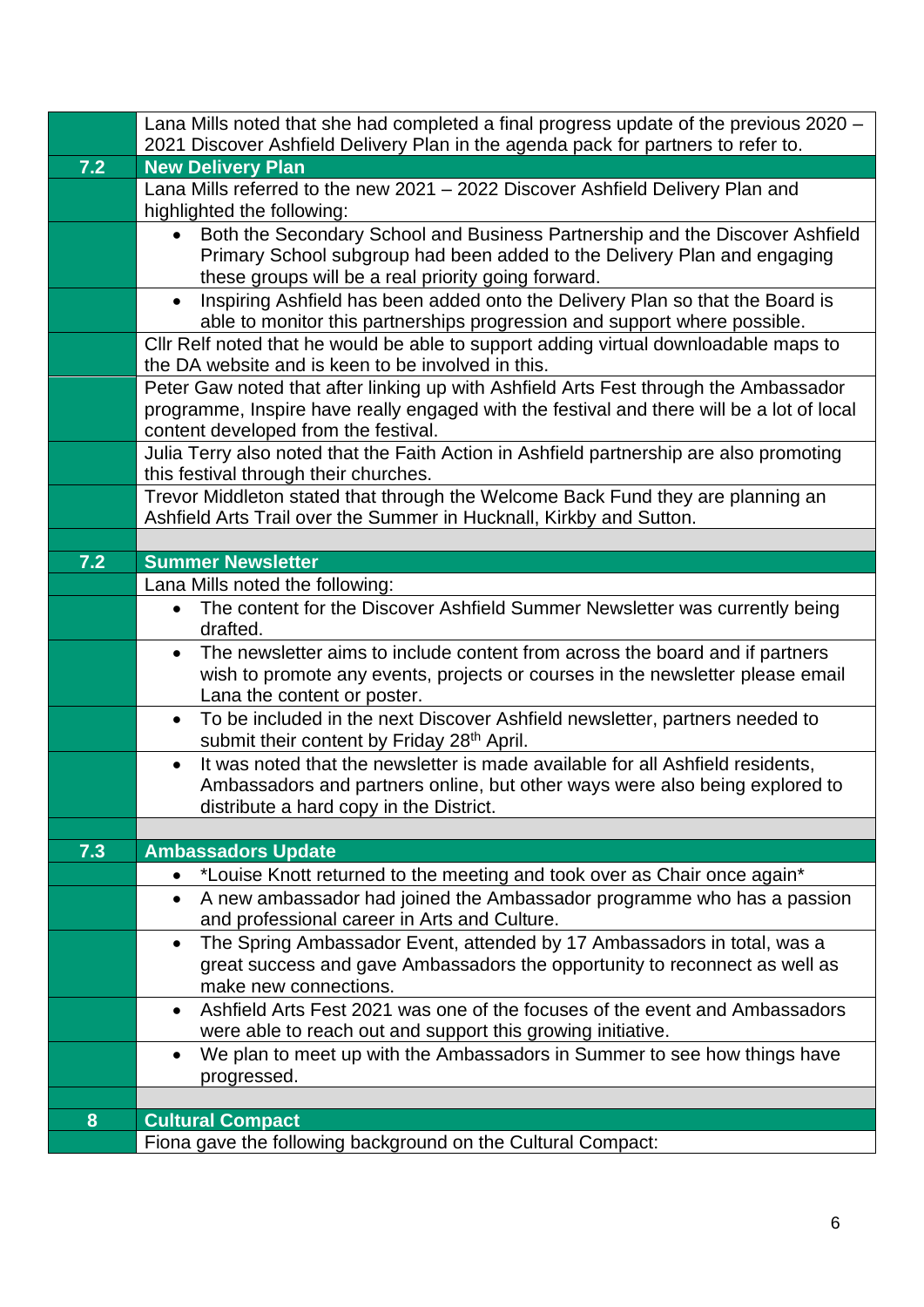|     | Lana Mills noted that she had completed a final progress update of the previous 2020 –                                                                                  |  |  |
|-----|-------------------------------------------------------------------------------------------------------------------------------------------------------------------------|--|--|
|     | 2021 Discover Ashfield Delivery Plan in the agenda pack for partners to refer to.                                                                                       |  |  |
| 7.2 | <b>New Delivery Plan</b><br>Lana Mills referred to the new 2021 - 2022 Discover Ashfield Delivery Plan and                                                              |  |  |
|     | highlighted the following:                                                                                                                                              |  |  |
|     | Both the Secondary School and Business Partnership and the Discover Ashfield<br>$\bullet$                                                                               |  |  |
|     | Primary School subgroup had been added to the Delivery Plan and engaging                                                                                                |  |  |
|     | these groups will be a real priority going forward.                                                                                                                     |  |  |
|     | Inspiring Ashfield has been added onto the Delivery Plan so that the Board is<br>$\bullet$<br>able to monitor this partnerships progression and support where possible. |  |  |
|     | Cllr Relf noted that he would be able to support adding virtual downloadable maps to<br>the DA website and is keen to be involved in this.                              |  |  |
|     | Peter Gaw noted that after linking up with Ashfield Arts Fest through the Ambassador                                                                                    |  |  |
|     | programme, Inspire have really engaged with the festival and there will be a lot of local<br>content developed from the festival.                                       |  |  |
|     | Julia Terry also noted that the Faith Action in Ashfield partnership are also promoting<br>this festival through their churches.                                        |  |  |
|     | Trevor Middleton stated that through the Welcome Back Fund they are planning an                                                                                         |  |  |
|     | Ashfield Arts Trail over the Summer in Hucknall, Kirkby and Sutton.                                                                                                     |  |  |
|     |                                                                                                                                                                         |  |  |
| 7.2 | <b>Summer Newsletter</b>                                                                                                                                                |  |  |
|     | Lana Mills noted the following:                                                                                                                                         |  |  |
|     | The content for the Discover Ashfield Summer Newsletter was currently being<br>$\bullet$<br>drafted.                                                                    |  |  |
|     | The newsletter aims to include content from across the board and if partners<br>$\bullet$                                                                               |  |  |
|     | wish to promote any events, projects or courses in the newsletter please email                                                                                          |  |  |
|     | Lana the content or poster.                                                                                                                                             |  |  |
|     | To be included in the next Discover Ashfield newsletter, partners needed to<br>$\bullet$<br>submit their content by Friday 28 <sup>th</sup> April.                      |  |  |
|     | It was noted that the newsletter is made available for all Ashfield residents,<br>$\bullet$                                                                             |  |  |
|     | Ambassadors and partners online, but other ways were also being explored to                                                                                             |  |  |
|     | distribute a hard copy in the District.                                                                                                                                 |  |  |
|     |                                                                                                                                                                         |  |  |
| 7.3 | <b>Ambassadors Update</b>                                                                                                                                               |  |  |
|     | *Louise Knott returned to the meeting and took over as Chair once again*                                                                                                |  |  |
|     | A new ambassador had joined the Ambassador programme who has a passion<br>$\bullet$                                                                                     |  |  |
|     | and professional career in Arts and Culture.                                                                                                                            |  |  |
|     | The Spring Ambassador Event, attended by 17 Ambassadors in total, was a<br>$\bullet$                                                                                    |  |  |
|     | great success and gave Ambassadors the opportunity to reconnect as well as<br>make new connections.                                                                     |  |  |
|     | Ashfield Arts Fest 2021 was one of the focuses of the event and Ambassadors<br>$\bullet$                                                                                |  |  |
|     | were able to reach out and support this growing initiative.                                                                                                             |  |  |
|     | We plan to meet up with the Ambassadors in Summer to see how things have<br>$\bullet$                                                                                   |  |  |
|     | progressed.                                                                                                                                                             |  |  |
|     |                                                                                                                                                                         |  |  |
| 8   | <b>Cultural Compact</b>                                                                                                                                                 |  |  |
|     | Fiona gave the following background on the Cultural Compact:                                                                                                            |  |  |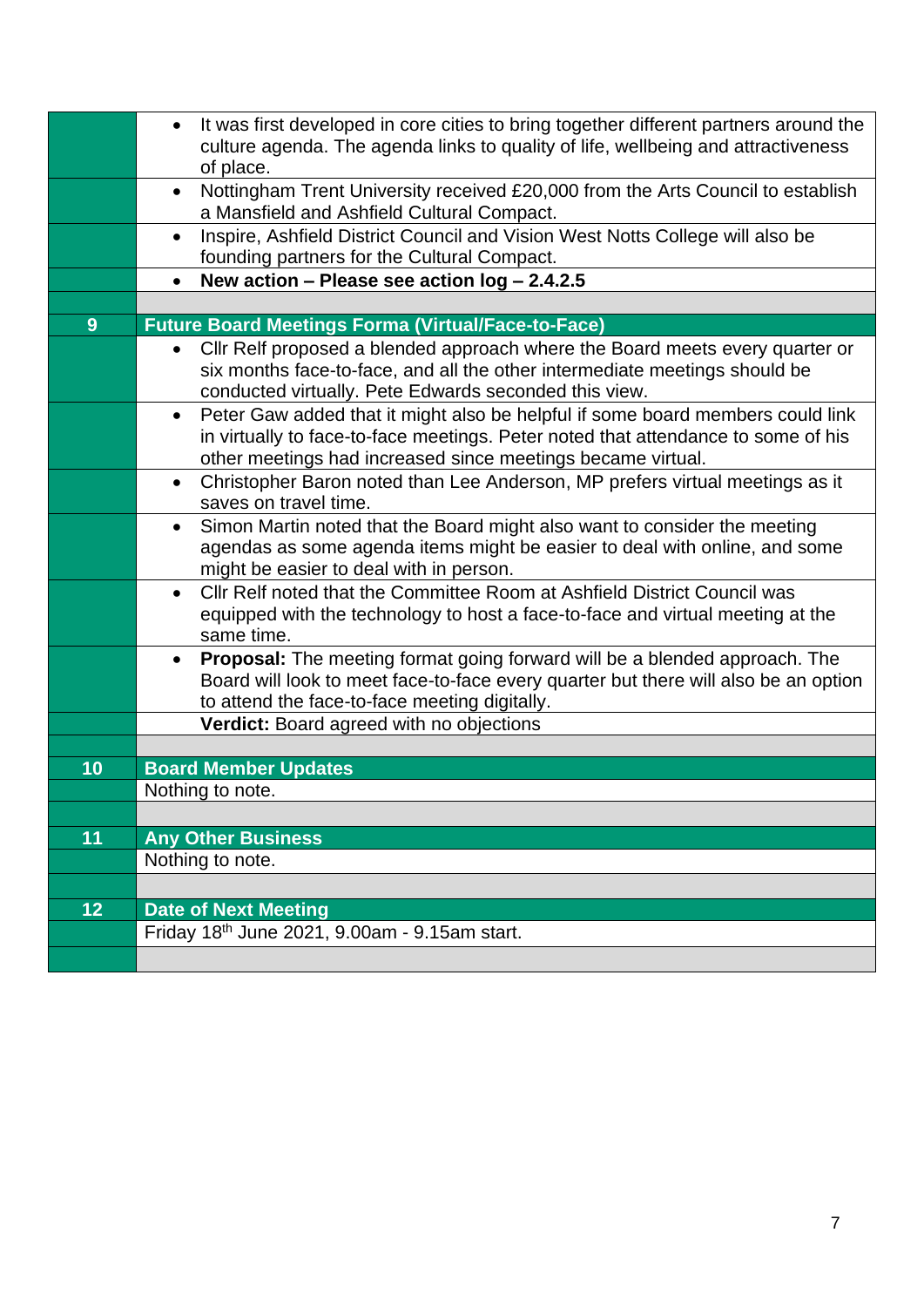|    | It was first developed in core cities to bring together different partners around the<br>$\bullet$<br>culture agenda. The agenda links to quality of life, wellbeing and attractiveness<br>of place.                                            |
|----|-------------------------------------------------------------------------------------------------------------------------------------------------------------------------------------------------------------------------------------------------|
|    | Nottingham Trent University received £20,000 from the Arts Council to establish<br>$\bullet$<br>a Mansfield and Ashfield Cultural Compact.                                                                                                      |
|    | Inspire, Ashfield District Council and Vision West Notts College will also be<br>$\bullet$<br>founding partners for the Cultural Compact.                                                                                                       |
|    | New action - Please see action log - 2.4.2.5<br>$\bullet$                                                                                                                                                                                       |
|    |                                                                                                                                                                                                                                                 |
| 9  | <b>Future Board Meetings Forma (Virtual/Face-to-Face)</b>                                                                                                                                                                                       |
|    | Cllr Relf proposed a blended approach where the Board meets every quarter or<br>$\bullet$<br>six months face-to-face, and all the other intermediate meetings should be<br>conducted virtually. Pete Edwards seconded this view.                |
|    | Peter Gaw added that it might also be helpful if some board members could link<br>$\bullet$<br>in virtually to face-to-face meetings. Peter noted that attendance to some of his<br>other meetings had increased since meetings became virtual. |
|    | Christopher Baron noted than Lee Anderson, MP prefers virtual meetings as it<br>$\bullet$<br>saves on travel time.                                                                                                                              |
|    | Simon Martin noted that the Board might also want to consider the meeting<br>$\bullet$<br>agendas as some agenda items might be easier to deal with online, and some<br>might be easier to deal with in person.                                 |
|    | CIIr Relf noted that the Committee Room at Ashfield District Council was<br>$\bullet$<br>equipped with the technology to host a face-to-face and virtual meeting at the<br>same time.                                                           |
|    | <b>Proposal:</b> The meeting format going forward will be a blended approach. The<br>$\bullet$<br>Board will look to meet face-to-face every quarter but there will also be an option<br>to attend the face-to-face meeting digitally.          |
|    | <b>Verdict:</b> Board agreed with no objections                                                                                                                                                                                                 |
|    |                                                                                                                                                                                                                                                 |
| 10 | <b>Board Member Updates</b>                                                                                                                                                                                                                     |
|    | Nothing to note.                                                                                                                                                                                                                                |
|    |                                                                                                                                                                                                                                                 |
| 11 | <b>Any Other Business</b>                                                                                                                                                                                                                       |
|    | Nothing to note.                                                                                                                                                                                                                                |
|    |                                                                                                                                                                                                                                                 |
| 12 | <b>Date of Next Meeting</b>                                                                                                                                                                                                                     |
|    | Friday 18th June 2021, 9.00am - 9.15am start.                                                                                                                                                                                                   |
|    |                                                                                                                                                                                                                                                 |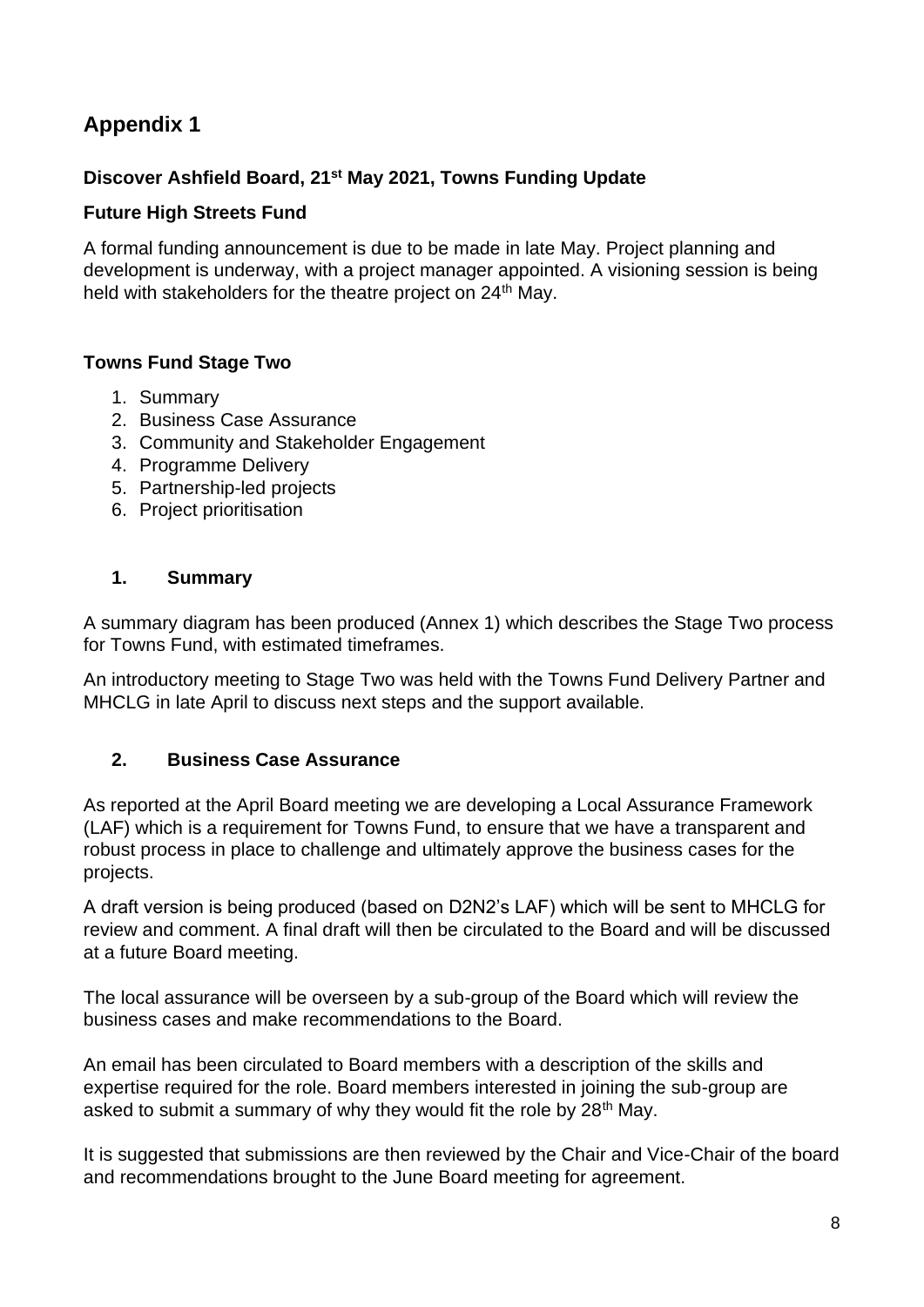#### **Appendix 1**

#### **Discover Ashfield Board, 21st May 2021, Towns Funding Update**

#### **Future High Streets Fund**

A formal funding announcement is due to be made in late May. Project planning and development is underway, with a project manager appointed. A visioning session is being held with stakeholders for the theatre project on 24<sup>th</sup> May.

#### **Towns Fund Stage Two**

- 1. Summary
- 2. Business Case Assurance
- 3. Community and Stakeholder Engagement
- 4. Programme Delivery
- 5. Partnership-led projects
- 6. Project prioritisation

#### **1. Summary**

A summary diagram has been produced (Annex 1) which describes the Stage Two process for Towns Fund, with estimated timeframes.

An introductory meeting to Stage Two was held with the Towns Fund Delivery Partner and MHCLG in late April to discuss next steps and the support available.

#### **2. Business Case Assurance**

As reported at the April Board meeting we are developing a Local Assurance Framework (LAF) which is a requirement for Towns Fund, to ensure that we have a transparent and robust process in place to challenge and ultimately approve the business cases for the projects.

A draft version is being produced (based on D2N2's LAF) which will be sent to MHCLG for review and comment. A final draft will then be circulated to the Board and will be discussed at a future Board meeting.

The local assurance will be overseen by a sub-group of the Board which will review the business cases and make recommendations to the Board.

An email has been circulated to Board members with a description of the skills and expertise required for the role. Board members interested in joining the sub-group are asked to submit a summary of why they would fit the role by 28<sup>th</sup> May.

It is suggested that submissions are then reviewed by the Chair and Vice-Chair of the board and recommendations brought to the June Board meeting for agreement.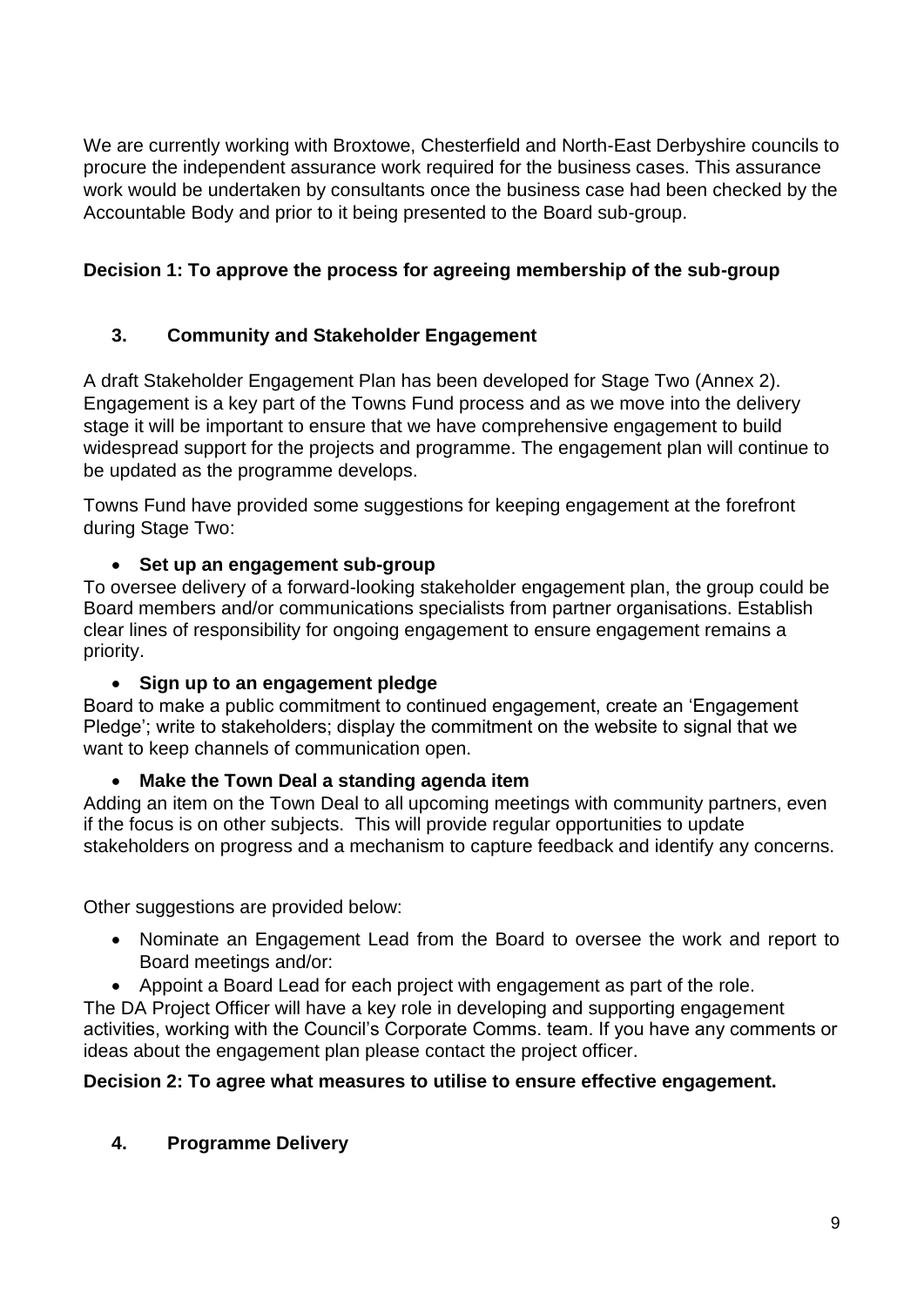We are currently working with Broxtowe, Chesterfield and North-East Derbyshire councils to procure the independent assurance work required for the business cases. This assurance work would be undertaken by consultants once the business case had been checked by the Accountable Body and prior to it being presented to the Board sub-group.

#### **Decision 1: To approve the process for agreeing membership of the sub-group**

#### **3. Community and Stakeholder Engagement**

A draft Stakeholder Engagement Plan has been developed for Stage Two (Annex 2). Engagement is a key part of the Towns Fund process and as we move into the delivery stage it will be important to ensure that we have comprehensive engagement to build widespread support for the projects and programme. The engagement plan will continue to be updated as the programme develops.

Towns Fund have provided some suggestions for keeping engagement at the forefront during Stage Two:

#### • **Set up an engagement sub-group**

To oversee delivery of a forward-looking stakeholder engagement plan, the group could be Board members and/or communications specialists from partner organisations. Establish clear lines of responsibility for ongoing engagement to ensure engagement remains a priority.

#### • **Sign up to an engagement pledge**

Board to make a public commitment to continued engagement, create an 'Engagement Pledge'; write to stakeholders; display the commitment on the website to signal that we want to keep channels of communication open.

#### • **Make the Town Deal a standing agenda item**

Adding an item on the Town Deal to all upcoming meetings with community partners, even if the focus is on other subjects. This will provide regular opportunities to update stakeholders on progress and a mechanism to capture feedback and identify any concerns.

Other suggestions are provided below:

- Nominate an Engagement Lead from the Board to oversee the work and report to Board meetings and/or:
- Appoint a Board Lead for each project with engagement as part of the role.

The DA Project Officer will have a key role in developing and supporting engagement activities, working with the Council's Corporate Comms. team. If you have any comments or ideas about the engagement plan please contact the project officer.

#### **Decision 2: To agree what measures to utilise to ensure effective engagement.**

**4. Programme Delivery**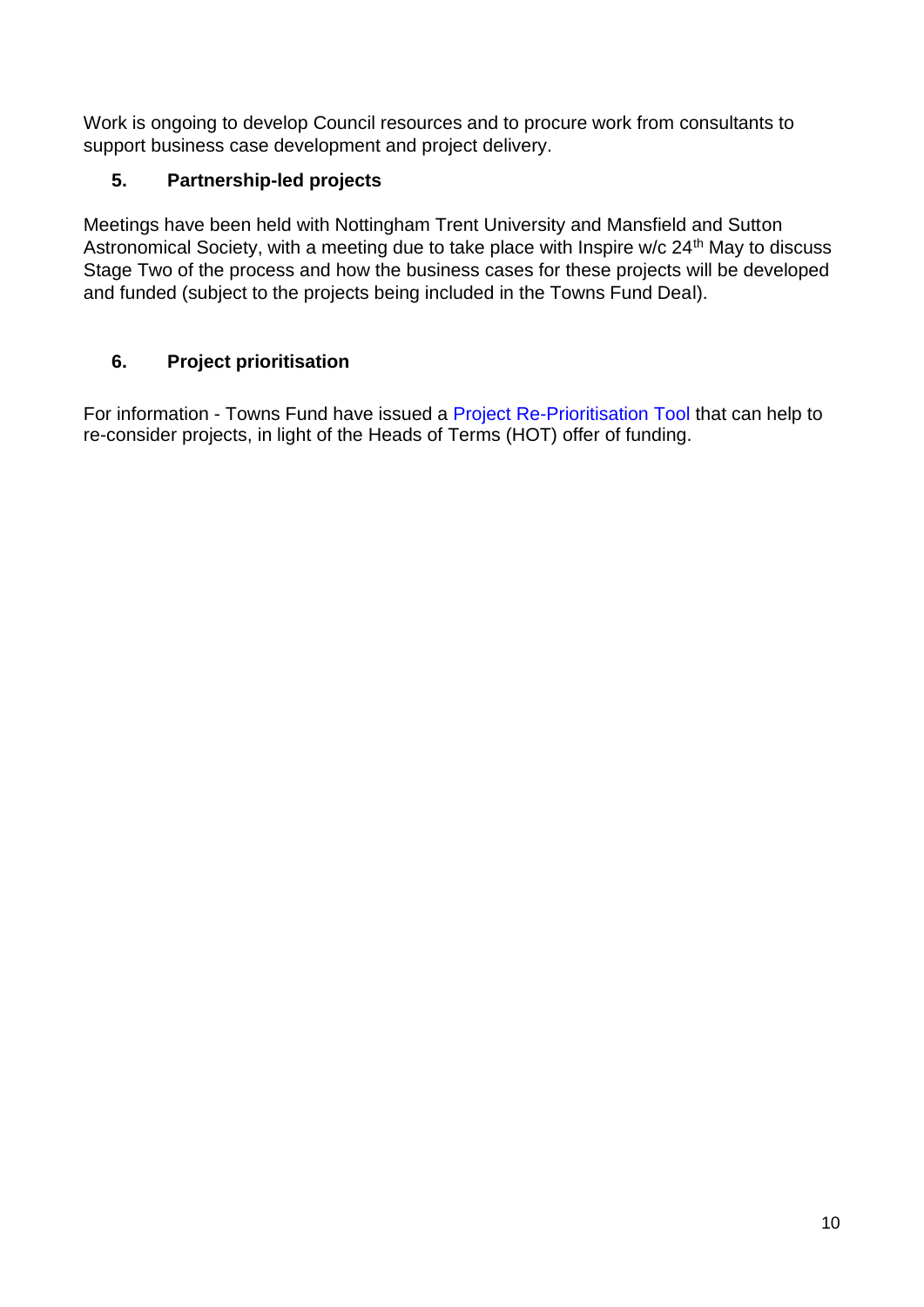Work is ongoing to develop Council resources and to procure work from consultants to support business case development and project delivery.

#### **5. Partnership-led projects**

Meetings have been held with Nottingham Trent University and Mansfield and Sutton Astronomical Society, with a meeting due to take place with Inspire w/c 24<sup>th</sup> May to discuss Stage Two of the process and how the business cases for these projects will be developed and funded (subject to the projects being included in the Towns Fund Deal).

#### **6. Project prioritisation**

For information - Towns Fund have issued a [Project Re-Prioritisation Tool](https://protect-eu.mimecast.com/s/ZRivCmwEVFQYjKT9HU5Z?domain=a1e0.engage.squarespace-mail.com) that can help to re-consider projects, in light of the Heads of Terms (HOT) offer of funding.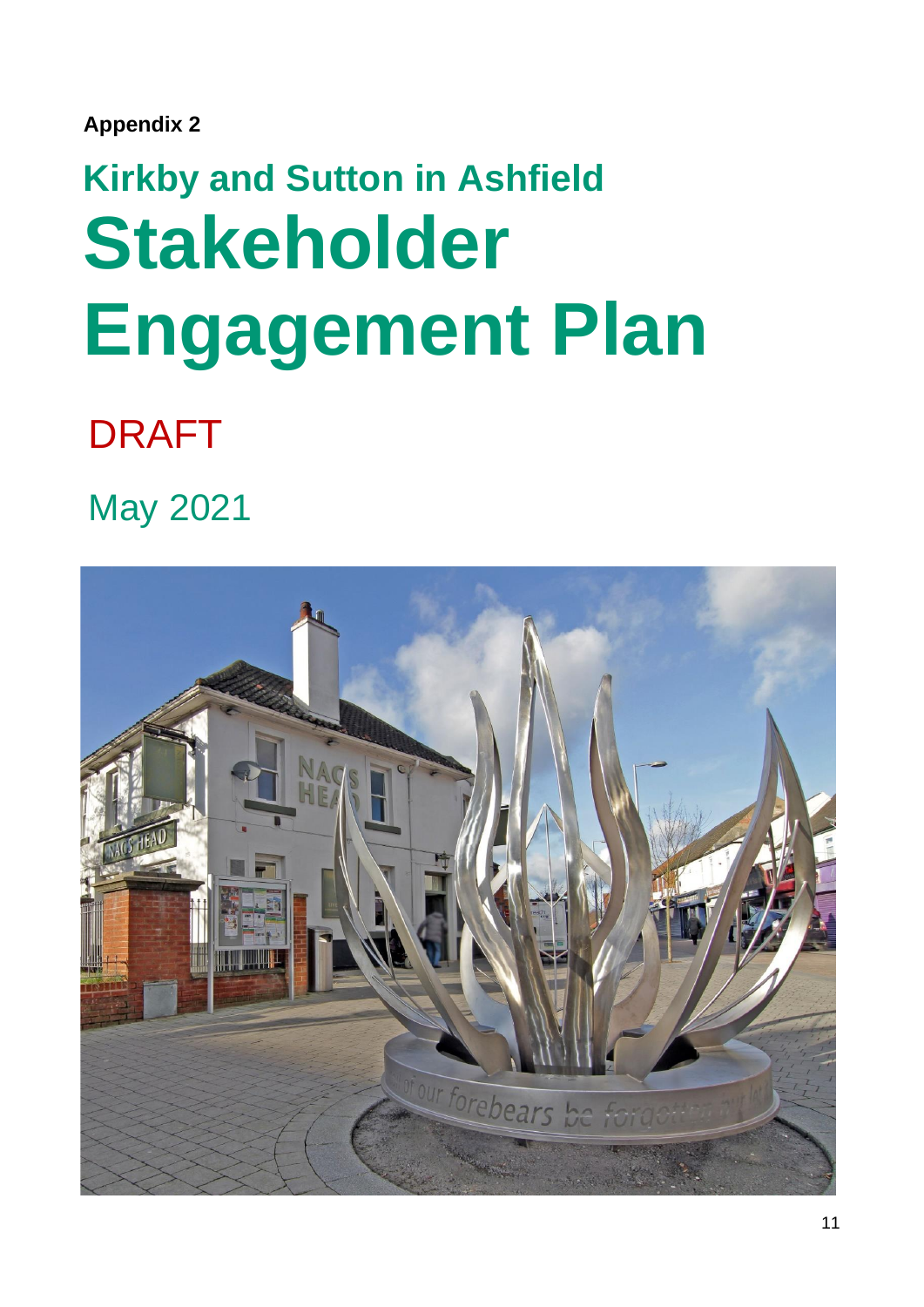**Appendix 2**

# **Kirkby and Sutton in Ashfield Stakeholder Engagement Plan**

## DRAFT

May 2021

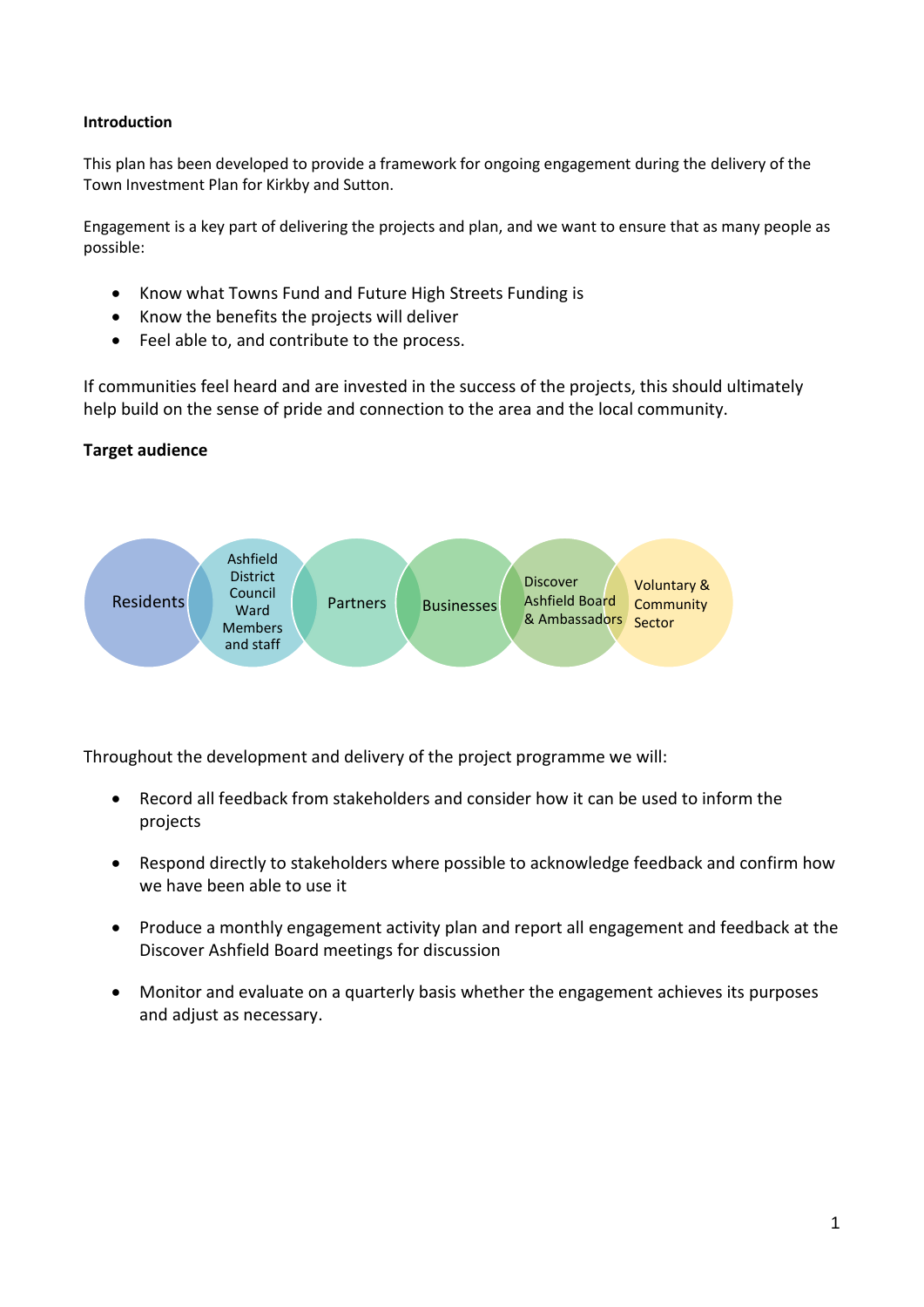#### **Introduction**

This plan has been developed to provide a framework for ongoing engagement during the delivery of the Town Investment Plan for Kirkby and Sutton.

Engagement is a key part of delivering the projects and plan, and we want to ensure that as many people as possible:

- Know what Towns Fund and Future High Streets Funding is
- Know the benefits the projects will deliver
- Feel able to, and contribute to the process.

If communities feel heard and are invested in the success of the projects, this should ultimately help build on the sense of pride and connection to the area and the local community.

#### **Target audience**



Throughout the development and delivery of the project programme we will:

- Record all feedback from stakeholders and consider how it can be used to inform the projects
- Respond directly to stakeholders where possible to acknowledge feedback and confirm how we have been able to use it
- Produce a monthly engagement activity plan and report all engagement and feedback at the Discover Ashfield Board meetings for discussion
- Monitor and evaluate on a quarterly basis whether the engagement achieves its purposes and adjust as necessary.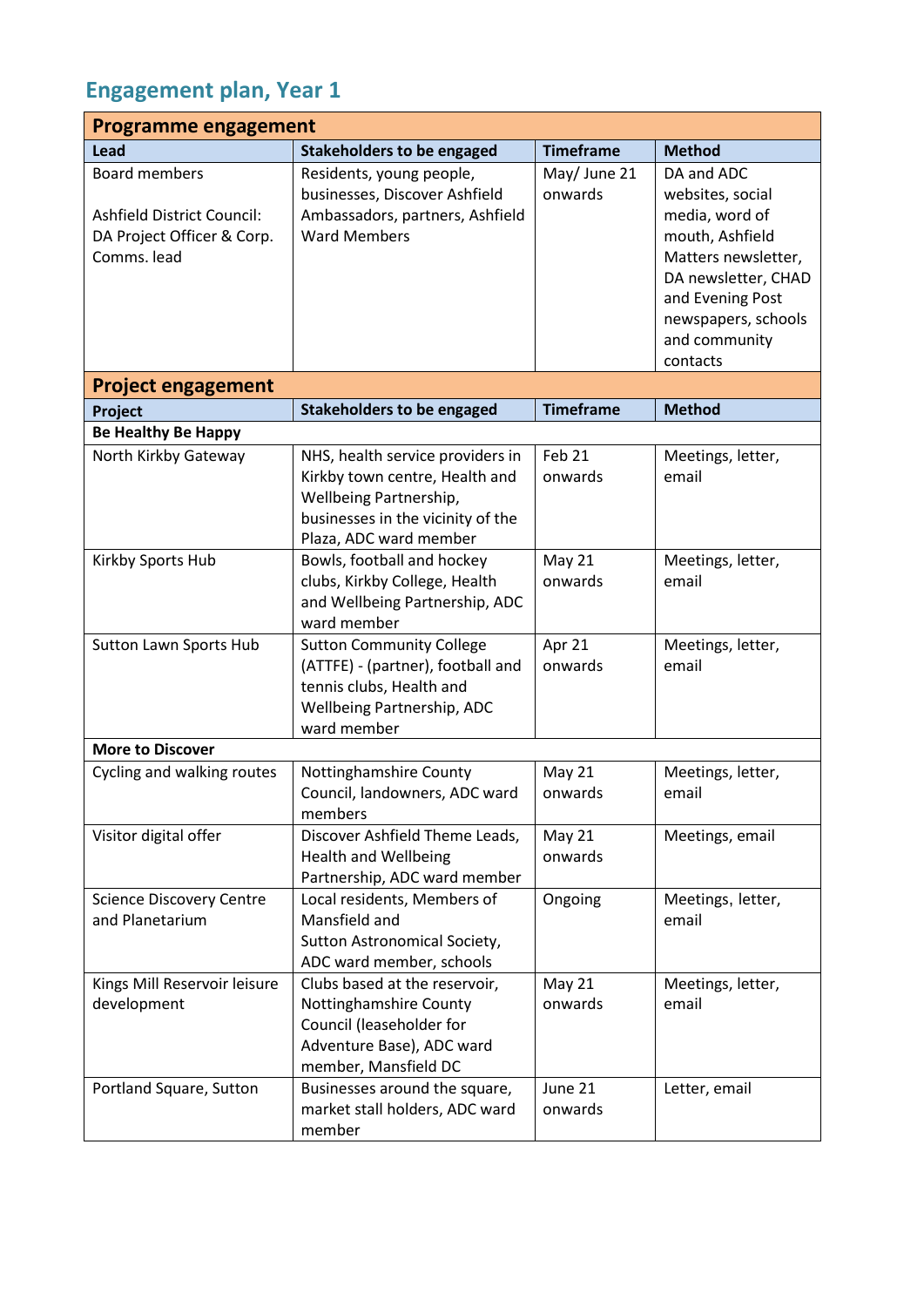#### **Engagement plan, Year 1**

| <b>Programme engagement</b>                                                                     |                                                                                                                                                             |                         |                                                                                                                                                                                           |  |
|-------------------------------------------------------------------------------------------------|-------------------------------------------------------------------------------------------------------------------------------------------------------------|-------------------------|-------------------------------------------------------------------------------------------------------------------------------------------------------------------------------------------|--|
| Lead                                                                                            | <b>Stakeholders to be engaged</b>                                                                                                                           | <b>Timeframe</b>        | <b>Method</b>                                                                                                                                                                             |  |
| <b>Board members</b><br>Ashfield District Council:<br>DA Project Officer & Corp.<br>Comms. lead | Residents, young people,<br>businesses, Discover Ashfield<br>Ambassadors, partners, Ashfield<br><b>Ward Members</b>                                         | May/ June 21<br>onwards | DA and ADC<br>websites, social<br>media, word of<br>mouth, Ashfield<br>Matters newsletter,<br>DA newsletter, CHAD<br>and Evening Post<br>newspapers, schools<br>and community<br>contacts |  |
| <b>Project engagement</b>                                                                       |                                                                                                                                                             |                         |                                                                                                                                                                                           |  |
| Project                                                                                         | <b>Stakeholders to be engaged</b>                                                                                                                           | <b>Timeframe</b>        | <b>Method</b>                                                                                                                                                                             |  |
| <b>Be Healthy Be Happy</b>                                                                      |                                                                                                                                                             |                         |                                                                                                                                                                                           |  |
| North Kirkby Gateway                                                                            | NHS, health service providers in<br>Kirkby town centre, Health and<br>Wellbeing Partnership,<br>businesses in the vicinity of the<br>Plaza, ADC ward member | Feb 21<br>onwards       | Meetings, letter,<br>email                                                                                                                                                                |  |
| Kirkby Sports Hub                                                                               | Bowls, football and hockey<br>clubs, Kirkby College, Health<br>and Wellbeing Partnership, ADC<br>ward member                                                | May 21<br>onwards       | Meetings, letter,<br>email                                                                                                                                                                |  |
| <b>Sutton Lawn Sports Hub</b>                                                                   | <b>Sutton Community College</b><br>(ATTFE) - (partner), football and<br>tennis clubs, Health and<br>Wellbeing Partnership, ADC<br>ward member               | Apr 21<br>onwards       | Meetings, letter,<br>email                                                                                                                                                                |  |
| <b>More to Discover</b>                                                                         |                                                                                                                                                             |                         |                                                                                                                                                                                           |  |
| Cycling and walking routes                                                                      | Nottinghamshire County<br>Council, landowners, ADC ward<br>members                                                                                          | May 21<br>onwards       | Meetings, letter,<br>email                                                                                                                                                                |  |
| Visitor digital offer                                                                           | Discover Ashfield Theme Leads,<br><b>Health and Wellbeing</b><br>Partnership, ADC ward member                                                               | May 21<br>onwards       | Meetings, email                                                                                                                                                                           |  |
| <b>Science Discovery Centre</b><br>and Planetarium                                              | Local residents, Members of<br>Mansfield and<br>Sutton Astronomical Society,<br>ADC ward member, schools                                                    | Ongoing                 | Meetings, letter,<br>email                                                                                                                                                                |  |
| Kings Mill Reservoir leisure<br>development                                                     | Clubs based at the reservoir,<br>Nottinghamshire County<br>Council (leaseholder for<br>Adventure Base), ADC ward<br>member, Mansfield DC                    | May 21<br>onwards       | Meetings, letter,<br>email                                                                                                                                                                |  |
| Portland Square, Sutton                                                                         | Businesses around the square,<br>market stall holders, ADC ward<br>member                                                                                   | June 21<br>onwards      | Letter, email                                                                                                                                                                             |  |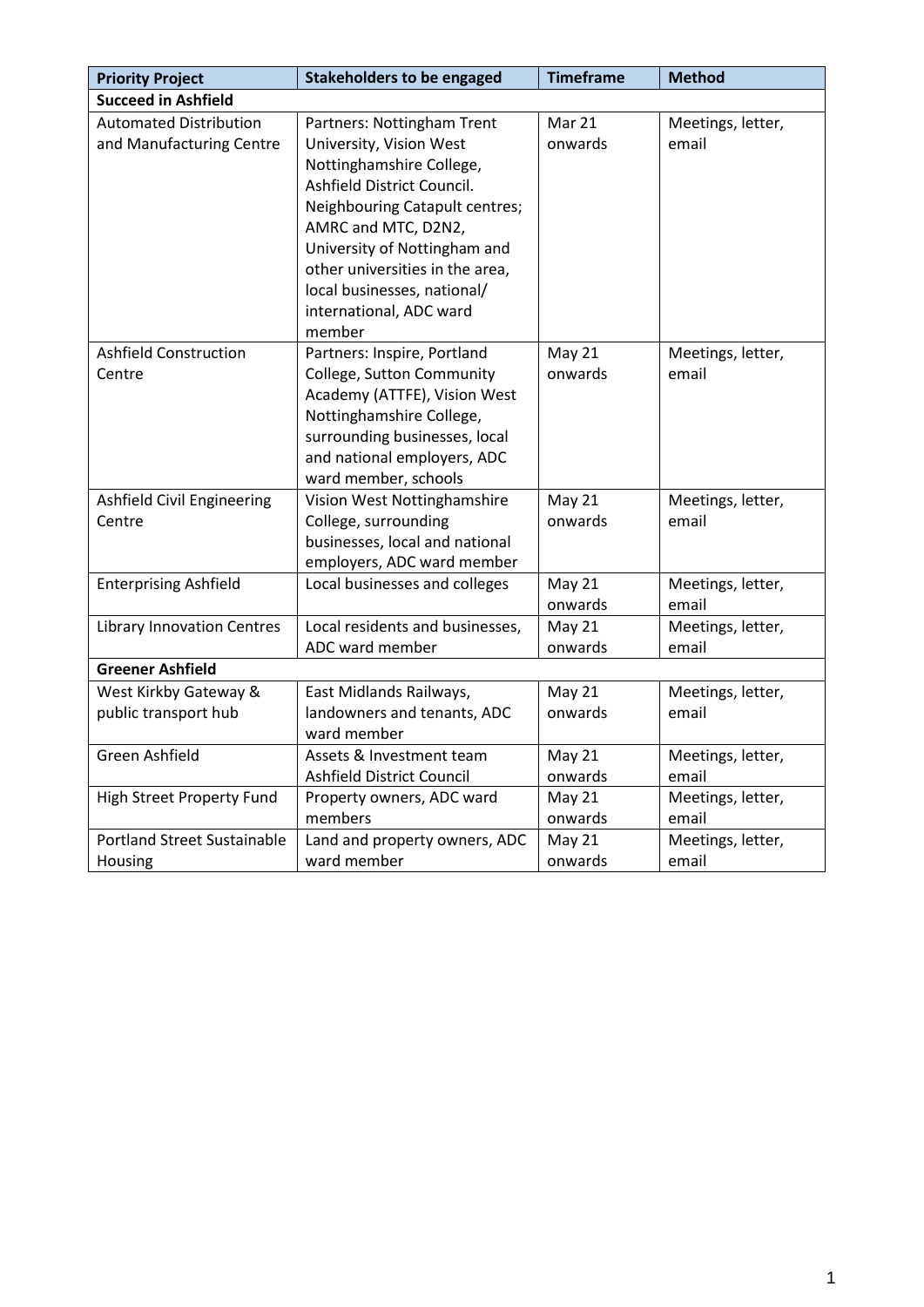| <b>Priority Project</b>                                   | <b>Stakeholders to be engaged</b>                                                                                                                                                                                                                                                                               | <b>Timeframe</b>         | <b>Method</b>              |
|-----------------------------------------------------------|-----------------------------------------------------------------------------------------------------------------------------------------------------------------------------------------------------------------------------------------------------------------------------------------------------------------|--------------------------|----------------------------|
| <b>Succeed in Ashfield</b>                                |                                                                                                                                                                                                                                                                                                                 |                          |                            |
| <b>Automated Distribution</b><br>and Manufacturing Centre | Partners: Nottingham Trent<br>University, Vision West<br>Nottinghamshire College,<br>Ashfield District Council.<br>Neighbouring Catapult centres;<br>AMRC and MTC, D2N2,<br>University of Nottingham and<br>other universities in the area,<br>local businesses, national/<br>international, ADC ward<br>member | Mar 21<br>onwards        | Meetings, letter,<br>email |
| <b>Ashfield Construction</b><br>Centre                    | Partners: Inspire, Portland<br>College, Sutton Community<br>Academy (ATTFE), Vision West<br>Nottinghamshire College,<br>surrounding businesses, local<br>and national employers, ADC<br>ward member, schools                                                                                                    | <b>May 21</b><br>onwards | Meetings, letter,<br>email |
| Ashfield Civil Engineering<br>Centre                      | Vision West Nottinghamshire<br>College, surrounding<br>businesses, local and national<br>employers, ADC ward member                                                                                                                                                                                             | <b>May 21</b><br>onwards | Meetings, letter,<br>email |
| <b>Enterprising Ashfield</b>                              | Local businesses and colleges                                                                                                                                                                                                                                                                                   | <b>May 21</b><br>onwards | Meetings, letter,<br>email |
| <b>Library Innovation Centres</b>                         | Local residents and businesses,<br>ADC ward member                                                                                                                                                                                                                                                              | <b>May 21</b><br>onwards | Meetings, letter,<br>email |
| <b>Greener Ashfield</b>                                   |                                                                                                                                                                                                                                                                                                                 |                          |                            |
| West Kirkby Gateway &<br>public transport hub             | East Midlands Railways,<br>landowners and tenants, ADC<br>ward member                                                                                                                                                                                                                                           | <b>May 21</b><br>onwards | Meetings, letter,<br>email |
| Green Ashfield                                            | Assets & Investment team<br>Ashfield District Council                                                                                                                                                                                                                                                           | <b>May 21</b><br>onwards | Meetings, letter,<br>email |
| <b>High Street Property Fund</b>                          | Property owners, ADC ward<br>members                                                                                                                                                                                                                                                                            | <b>May 21</b><br>onwards | Meetings, letter,<br>email |
| <b>Portland Street Sustainable</b><br>Housing             | Land and property owners, ADC<br>ward member                                                                                                                                                                                                                                                                    | <b>May 21</b><br>onwards | Meetings, letter,<br>email |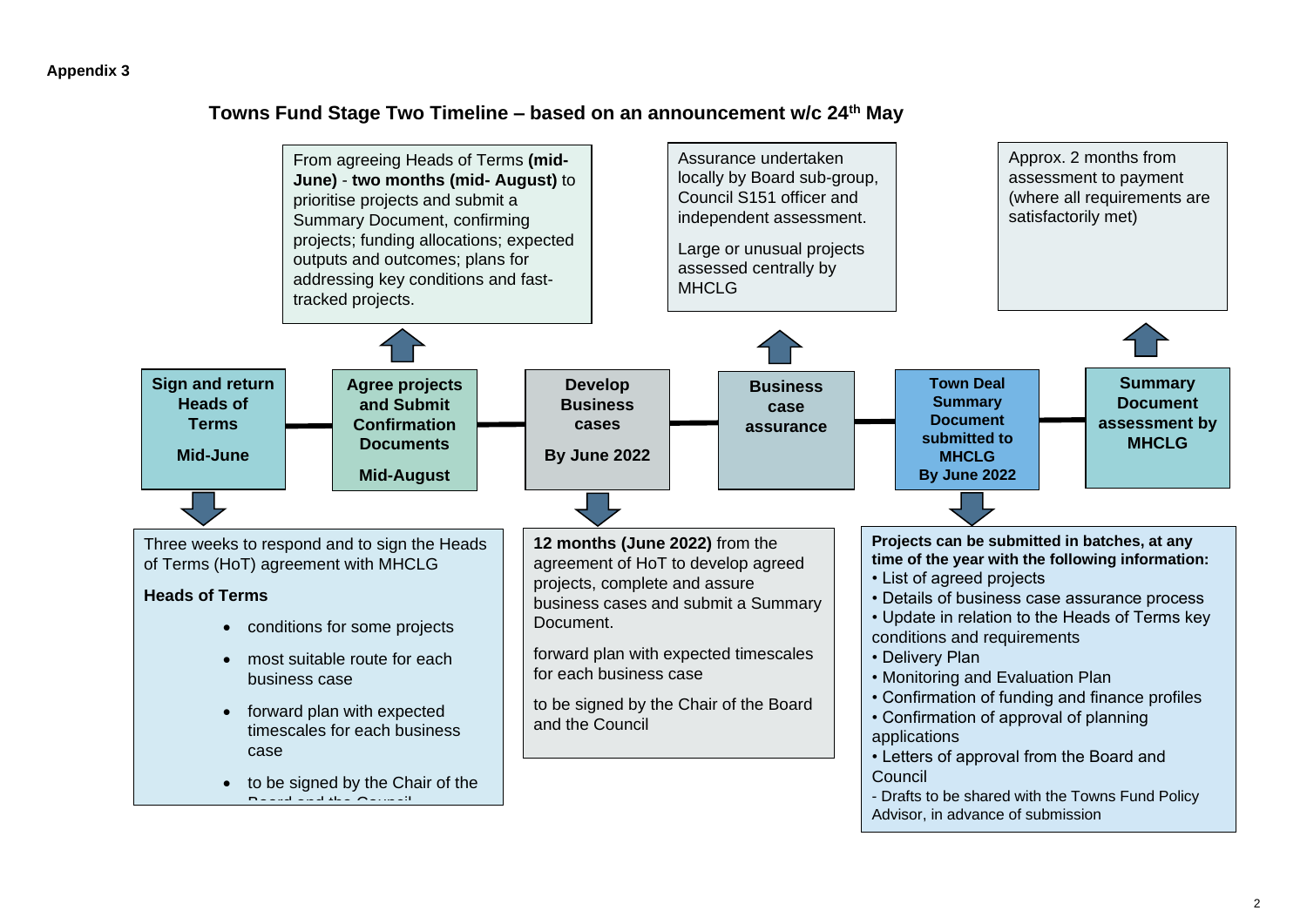#### **Towns Fund Stage Two Timeline – based on an announcement w/c 24th May**